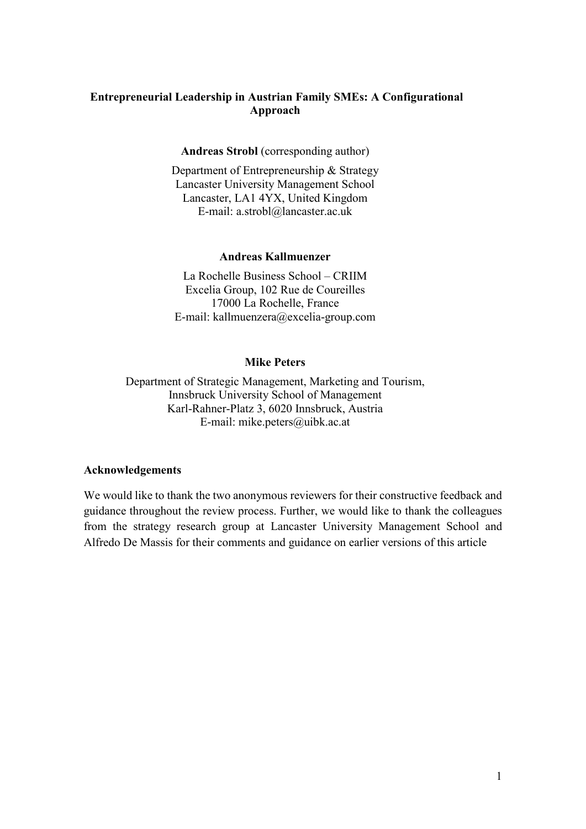# **Entrepreneurial Leadership in Austrian Family SMEs: A Configurational Approach**

## **Andreas Strobl** (corresponding author)

Department of Entrepreneurship & Strategy Lancaster University Management School Lancaster, LA1 4YX, United Kingdom E-mail: a.strobl@lancaster.ac.uk

#### **Andreas Kallmuenzer**

La Rochelle Business School – CRIIM Excelia Group, 102 Rue de Coureilles 17000 La Rochelle, France E-mail: kallmuenzera@excelia-group.com

#### **Mike Peters**

Department of Strategic Management, Marketing and Tourism, Innsbruck University School of Management Karl-Rahner-Platz 3, 6020 Innsbruck, Austria E-mail: mike.peters@uibk.ac.at

#### **Acknowledgements**

We would like to thank the two anonymous reviewers for their constructive feedback and guidance throughout the review process. Further, we would like to thank the colleagues from the strategy research group at Lancaster University Management School and Alfredo De Massis for their comments and guidance on earlier versions of this article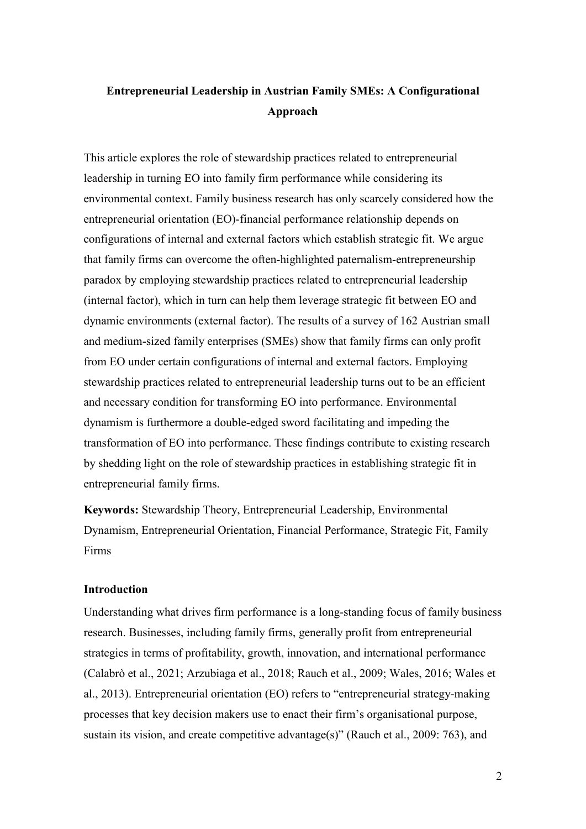# **Entrepreneurial Leadership in Austrian Family SMEs: A Configurational Approach**

This article explores the role of stewardship practices related to entrepreneurial leadership in turning EO into family firm performance while considering its environmental context. Family business research has only scarcely considered how the entrepreneurial orientation (EO)-financial performance relationship depends on configurations of internal and external factors which establish strategic fit. We argue that family firms can overcome the often-highlighted paternalism-entrepreneurship paradox by employing stewardship practices related to entrepreneurial leadership (internal factor), which in turn can help them leverage strategic fit between EO and dynamic environments (external factor). The results of a survey of 162 Austrian small and medium-sized family enterprises (SMEs) show that family firms can only profit from EO under certain configurations of internal and external factors. Employing stewardship practices related to entrepreneurial leadership turns out to be an efficient and necessary condition for transforming EO into performance. Environmental dynamism is furthermore a double-edged sword facilitating and impeding the transformation of EO into performance. These findings contribute to existing research by shedding light on the role of stewardship practices in establishing strategic fit in entrepreneurial family firms.

**Keywords:** Stewardship Theory, Entrepreneurial Leadership, Environmental Dynamism, Entrepreneurial Orientation, Financial Performance, Strategic Fit, Family Firms

### **Introduction**

Understanding what drives firm performance is a long-standing focus of family business research. Businesses, including family firms, generally profit from entrepreneurial strategies in terms of profitability, growth, innovation, and international performance (Calabrò et al., 2021; Arzubiaga et al., 2018; Rauch et al., 2009; Wales, 2016; Wales et al., 2013). Entrepreneurial orientation (EO) refers to "entrepreneurial strategy-making processes that key decision makers use to enact their firm's organisational purpose, sustain its vision, and create competitive advantage(s)" (Rauch et al., 2009: 763), and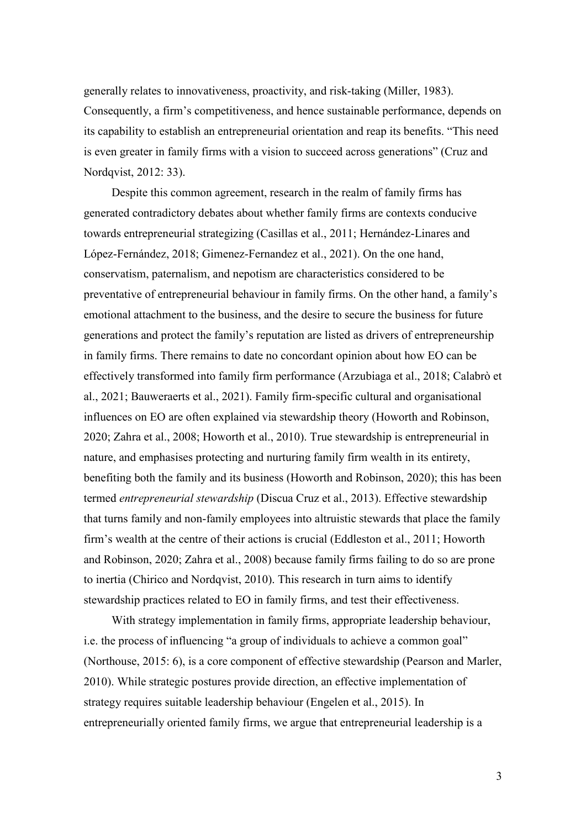generally relates to innovativeness, proactivity, and risk-taking (Miller, 1983). Consequently, a firm's competitiveness, and hence sustainable performance, depends on its capability to establish an entrepreneurial orientation and reap its benefits. "This need is even greater in family firms with a vision to succeed across generations" (Cruz and Nordqvist, 2012: 33).

Despite this common agreement, research in the realm of family firms has generated contradictory debates about whether family firms are contexts conducive towards entrepreneurial strategizing (Casillas et al., 2011; Hernández-Linares and López-Fernández, 2018; Gimenez-Fernandez et al., 2021). On the one hand, conservatism, paternalism, and nepotism are characteristics considered to be preventative of entrepreneurial behaviour in family firms. On the other hand, a family's emotional attachment to the business, and the desire to secure the business for future generations and protect the family's reputation are listed as drivers of entrepreneurship in family firms. There remains to date no concordant opinion about how EO can be effectively transformed into family firm performance (Arzubiaga et al., 2018; Calabrò et al., 2021; Bauweraerts et al., 2021). Family firm-specific cultural and organisational influences on EO are often explained via stewardship theory (Howorth and Robinson, 2020; Zahra et al., 2008; Howorth et al., 2010). True stewardship is entrepreneurial in nature, and emphasises protecting and nurturing family firm wealth in its entirety, benefiting both the family and its business (Howorth and Robinson, 2020); this has been termed *entrepreneurial stewardship* (Discua Cruz et al., 2013). Effective stewardship that turns family and non-family employees into altruistic stewards that place the family firm's wealth at the centre of their actions is crucial (Eddleston et al., 2011; Howorth and Robinson, 2020; Zahra et al., 2008) because family firms failing to do so are prone to inertia (Chirico and Nordqvist, 2010). This research in turn aims to identify stewardship practices related to EO in family firms, and test their effectiveness.

With strategy implementation in family firms, appropriate leadership behaviour, i.e. the process of influencing "a group of individuals to achieve a common goal" (Northouse, 2015: 6), is a core component of effective stewardship (Pearson and Marler, 2010). While strategic postures provide direction, an effective implementation of strategy requires suitable leadership behaviour (Engelen et al., 2015). In entrepreneurially oriented family firms, we argue that entrepreneurial leadership is a

3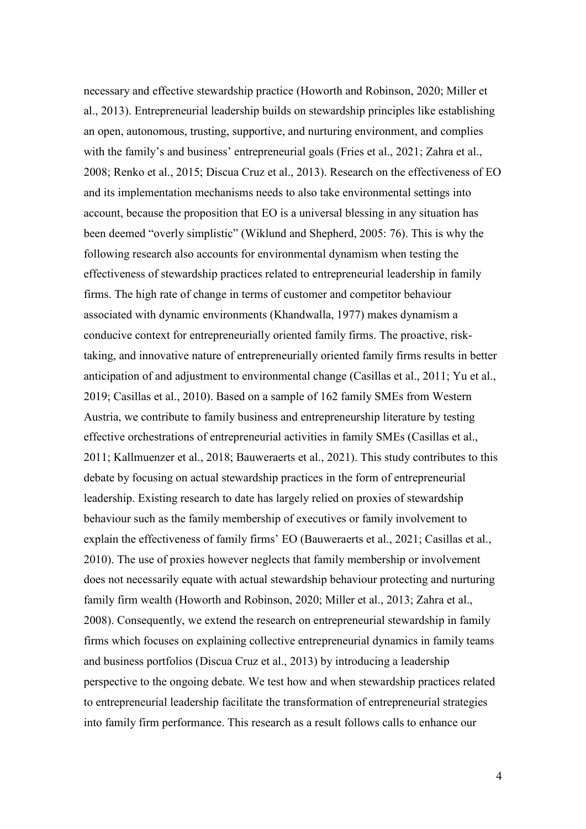necessary and effective stewardship practice (Howorth and Robinson, 2020; Miller et al., 2013). Entrepreneurial leadership builds on stewardship principles like establishing an open, autonomous, trusting, supportive, and nurturing environment, and complies with the family's and business' entrepreneurial goals (Fries et al., 2021; Zahra et al., 2008; Renko et al., 2015; Discua Cruz et al., 2013). Research on the effectiveness of EO and its implementation mechanisms needs to also take environmental settings into account, because the proposition that EO is a universal blessing in any situation has been deemed "overly simplistic" (Wiklund and Shepherd, 2005: 76). This is why the following research also accounts for environmental dynamism when testing the effectiveness of stewardship practices related to entrepreneurial leadership in family firms. The high rate of change in terms of customer and competitor behaviour associated with dynamic environments (Khandwalla, 1977) makes dynamism a conducive context for entrepreneurially oriented family firms. The proactive, risktaking, and innovative nature of entrepreneurially oriented family firms results in better anticipation of and adjustment to environmental change (Casillas et al., 2011; Yu et al., 2019; Casillas et al., 2010). Based on a sample of 162 family SMEs from Western Austria, we contribute to family business and entrepreneurship literature by testing effective orchestrations of entrepreneurial activities in family SMEs (Casillas et al., 2011; Kallmuenzer et al., 2018; Bauweraerts et al., 2021). This study contributes to this debate by focusing on actual stewardship practices in the form of entrepreneurial leadership. Existing research to date has largely relied on proxies of stewardship behaviour such as the family membership of executives or family involvement to explain the effectiveness of family firms' EO (Bauweraerts et al., 2021; Casillas et al., 2010). The use of proxies however neglects that family membership or involvement does not necessarily equate with actual stewardship behaviour protecting and nurturing family firm wealth (Howorth and Robinson, 2020; Miller et al., 2013; Zahra et al., 2008). Consequently, we extend the research on entrepreneurial stewardship in family firms which focuses on explaining collective entrepreneurial dynamics in family teams and business portfolios (Discua Cruz et al., 2013) by introducing a leadership perspective to the ongoing debate. We test how and when stewardship practices related to entrepreneurial leadership facilitate the transformation of entrepreneurial strategies into family firm performance. This research as a result follows calls to enhance our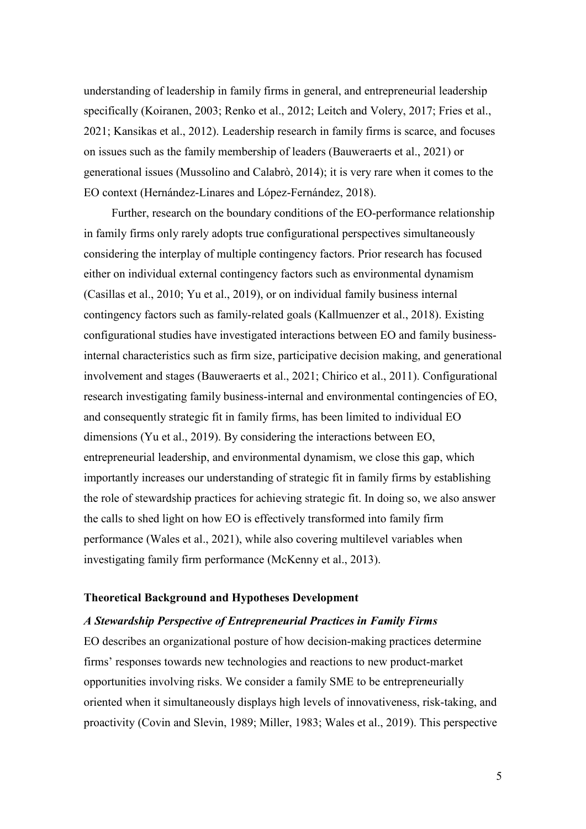understanding of leadership in family firms in general, and entrepreneurial leadership specifically (Koiranen, 2003; Renko et al., 2012; Leitch and Volery, 2017; Fries et al., 2021; Kansikas et al., 2012). Leadership research in family firms is scarce, and focuses on issues such as the family membership of leaders (Bauweraerts et al., 2021) or generational issues (Mussolino and Calabrò, 2014); it is very rare when it comes to the EO context (Hernández-Linares and López-Fernández, 2018).

Further, research on the boundary conditions of the EO-performance relationship in family firms only rarely adopts true configurational perspectives simultaneously considering the interplay of multiple contingency factors. Prior research has focused either on individual external contingency factors such as environmental dynamism (Casillas et al., 2010; Yu et al., 2019), or on individual family business internal contingency factors such as family-related goals (Kallmuenzer et al., 2018). Existing configurational studies have investigated interactions between EO and family businessinternal characteristics such as firm size, participative decision making, and generational involvement and stages (Bauweraerts et al., 2021; Chirico et al., 2011). Configurational research investigating family business-internal and environmental contingencies of EO, and consequently strategic fit in family firms, has been limited to individual EO dimensions (Yu et al., 2019). By considering the interactions between EO, entrepreneurial leadership, and environmental dynamism, we close this gap, which importantly increases our understanding of strategic fit in family firms by establishing the role of stewardship practices for achieving strategic fit. In doing so, we also answer the calls to shed light on how EO is effectively transformed into family firm performance (Wales et al., 2021), while also covering multilevel variables when investigating family firm performance (McKenny et al., 2013).

### **Theoretical Background and Hypotheses Development**

## *A Stewardship Perspective of Entrepreneurial Practices in Family Firms*

EO describes an organizational posture of how decision-making practices determine firms' responses towards new technologies and reactions to new product-market opportunities involving risks. We consider a family SME to be entrepreneurially oriented when it simultaneously displays high levels of innovativeness, risk-taking, and proactivity (Covin and Slevin, 1989; Miller, 1983; Wales et al., 2019). This perspective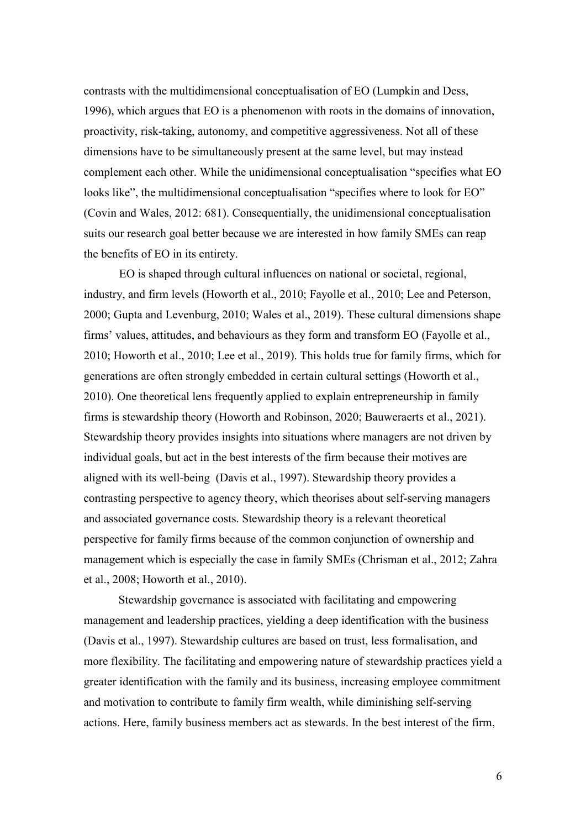contrasts with the multidimensional conceptualisation of EO (Lumpkin and Dess, 1996), which argues that EO is a phenomenon with roots in the domains of innovation, proactivity, risk-taking, autonomy, and competitive aggressiveness. Not all of these dimensions have to be simultaneously present at the same level, but may instead complement each other. While the unidimensional conceptualisation "specifies what EO looks like", the multidimensional conceptualisation "specifies where to look for EO" (Covin and Wales, 2012: 681). Consequentially, the unidimensional conceptualisation suits our research goal better because we are interested in how family SMEs can reap the benefits of EO in its entirety.

EO is shaped through cultural influences on national or societal, regional, industry, and firm levels (Howorth et al., 2010; Fayolle et al., 2010; Lee and Peterson, 2000; Gupta and Levenburg, 2010; Wales et al., 2019). These cultural dimensions shape firms' values, attitudes, and behaviours as they form and transform EO (Fayolle et al., 2010; Howorth et al., 2010; Lee et al., 2019). This holds true for family firms, which for generations are often strongly embedded in certain cultural settings (Howorth et al., 2010). One theoretical lens frequently applied to explain entrepreneurship in family firms is stewardship theory (Howorth and Robinson, 2020; Bauweraerts et al., 2021). Stewardship theory provides insights into situations where managers are not driven by individual goals, but act in the best interests of the firm because their motives are aligned with its well-being (Davis et al., 1997). Stewardship theory provides a contrasting perspective to agency theory, which theorises about self-serving managers and associated governance costs. Stewardship theory is a relevant theoretical perspective for family firms because of the common conjunction of ownership and management which is especially the case in family SMEs (Chrisman et al., 2012; Zahra et al., 2008; Howorth et al., 2010).

Stewardship governance is associated with facilitating and empowering management and leadership practices, yielding a deep identification with the business (Davis et al., 1997). Stewardship cultures are based on trust, less formalisation, and more flexibility. The facilitating and empowering nature of stewardship practices yield a greater identification with the family and its business, increasing employee commitment and motivation to contribute to family firm wealth, while diminishing self-serving actions. Here, family business members act as stewards. In the best interest of the firm,

6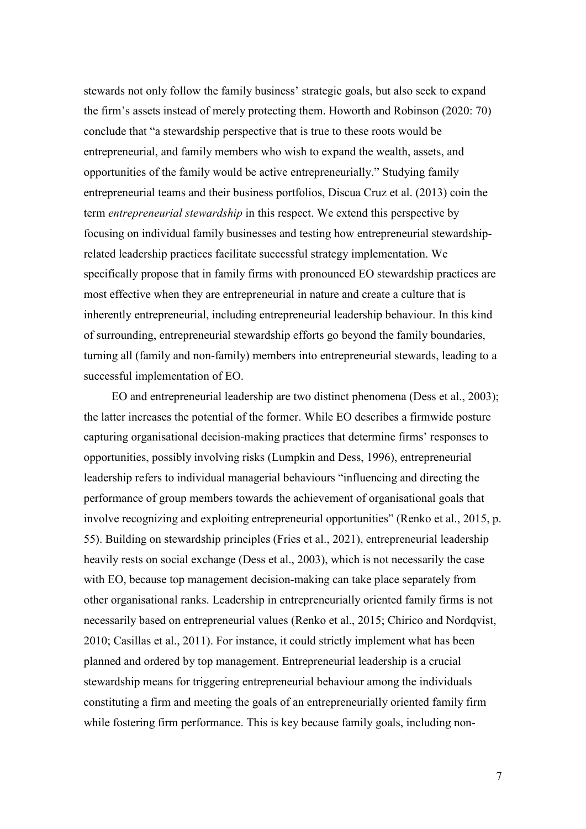stewards not only follow the family business' strategic goals, but also seek to expand the firm's assets instead of merely protecting them. Howorth and Robinson (2020: 70) conclude that "a stewardship perspective that is true to these roots would be entrepreneurial, and family members who wish to expand the wealth, assets, and opportunities of the family would be active entrepreneurially." Studying family entrepreneurial teams and their business portfolios, Discua Cruz et al. (2013) coin the term *entrepreneurial stewardship* in this respect. We extend this perspective by focusing on individual family businesses and testing how entrepreneurial stewardshiprelated leadership practices facilitate successful strategy implementation. We specifically propose that in family firms with pronounced EO stewardship practices are most effective when they are entrepreneurial in nature and create a culture that is inherently entrepreneurial, including entrepreneurial leadership behaviour. In this kind of surrounding, entrepreneurial stewardship efforts go beyond the family boundaries, turning all (family and non-family) members into entrepreneurial stewards, leading to a successful implementation of EO.

EO and entrepreneurial leadership are two distinct phenomena (Dess et al., 2003); the latter increases the potential of the former. While EO describes a firmwide posture capturing organisational decision-making practices that determine firms' responses to opportunities, possibly involving risks (Lumpkin and Dess, 1996), entrepreneurial leadership refers to individual managerial behaviours "influencing and directing the performance of group members towards the achievement of organisational goals that involve recognizing and exploiting entrepreneurial opportunities" (Renko et al., 2015, p. 55). Building on stewardship principles (Fries et al., 2021), entrepreneurial leadership heavily rests on social exchange (Dess et al., 2003), which is not necessarily the case with EO, because top management decision-making can take place separately from other organisational ranks. Leadership in entrepreneurially oriented family firms is not necessarily based on entrepreneurial values (Renko et al., 2015; Chirico and Nordqvist, 2010; Casillas et al., 2011). For instance, it could strictly implement what has been planned and ordered by top management. Entrepreneurial leadership is a crucial stewardship means for triggering entrepreneurial behaviour among the individuals constituting a firm and meeting the goals of an entrepreneurially oriented family firm while fostering firm performance. This is key because family goals, including non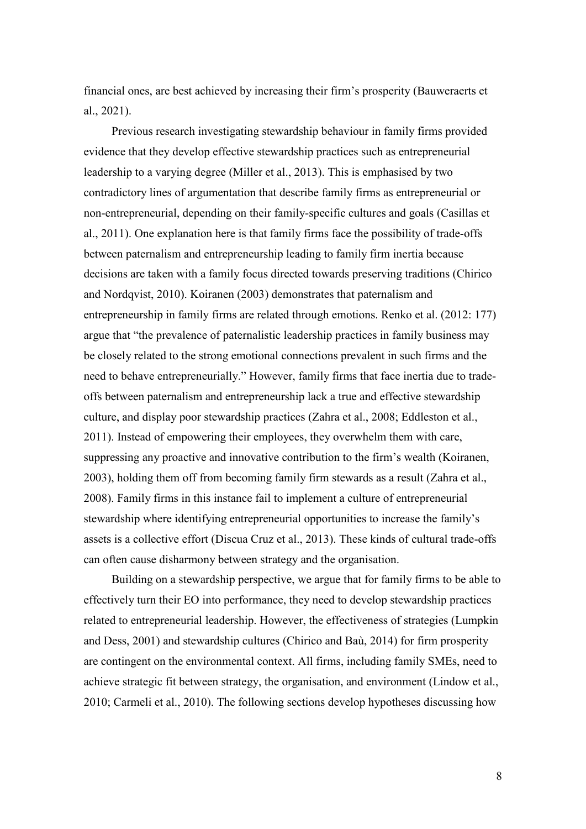financial ones, are best achieved by increasing their firm's prosperity (Bauweraerts et al., 2021).

Previous research investigating stewardship behaviour in family firms provided evidence that they develop effective stewardship practices such as entrepreneurial leadership to a varying degree (Miller et al., 2013). This is emphasised by two contradictory lines of argumentation that describe family firms as entrepreneurial or non-entrepreneurial, depending on their family-specific cultures and goals (Casillas et al., 2011). One explanation here is that family firms face the possibility of trade-offs between paternalism and entrepreneurship leading to family firm inertia because decisions are taken with a family focus directed towards preserving traditions (Chirico and Nordqvist, 2010). Koiranen (2003) demonstrates that paternalism and entrepreneurship in family firms are related through emotions. Renko et al. (2012: 177) argue that "the prevalence of paternalistic leadership practices in family business may be closely related to the strong emotional connections prevalent in such firms and the need to behave entrepreneurially." However, family firms that face inertia due to tradeoffs between paternalism and entrepreneurship lack a true and effective stewardship culture, and display poor stewardship practices (Zahra et al., 2008; Eddleston et al., 2011). Instead of empowering their employees, they overwhelm them with care, suppressing any proactive and innovative contribution to the firm's wealth (Koiranen, 2003), holding them off from becoming family firm stewards as a result (Zahra et al., 2008). Family firms in this instance fail to implement a culture of entrepreneurial stewardship where identifying entrepreneurial opportunities to increase the family's assets is a collective effort (Discua Cruz et al., 2013). These kinds of cultural trade-offs can often cause disharmony between strategy and the organisation.

Building on a stewardship perspective, we argue that for family firms to be able to effectively turn their EO into performance, they need to develop stewardship practices related to entrepreneurial leadership. However, the effectiveness of strategies (Lumpkin and Dess, 2001) and stewardship cultures (Chirico and Baù, 2014) for firm prosperity are contingent on the environmental context. All firms, including family SMEs, need to achieve strategic fit between strategy, the organisation, and environment (Lindow et al., 2010; Carmeli et al., 2010). The following sections develop hypotheses discussing how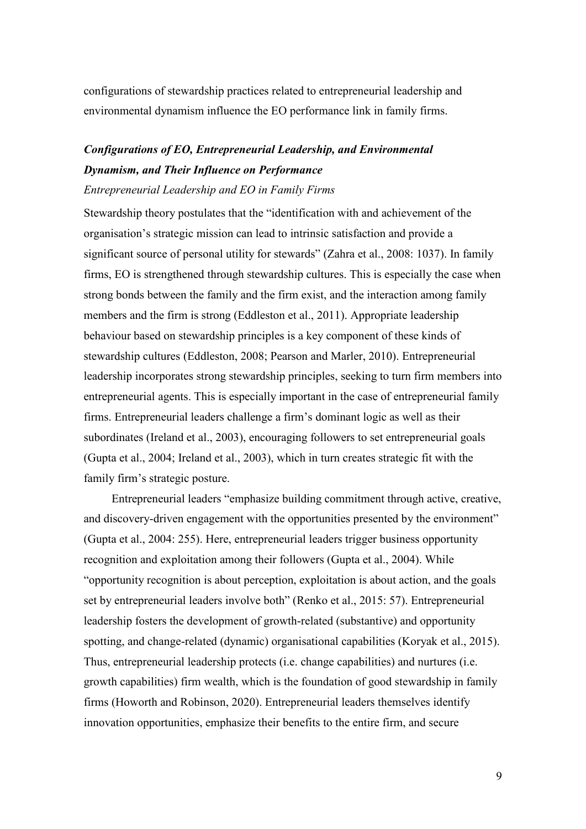configurations of stewardship practices related to entrepreneurial leadership and environmental dynamism influence the EO performance link in family firms.

# *Configurations of EO, Entrepreneurial Leadership, and Environmental Dynamism, and Their Influence on Performance*

#### *Entrepreneurial Leadership and EO in Family Firms*

Stewardship theory postulates that the "identification with and achievement of the organisation's strategic mission can lead to intrinsic satisfaction and provide a significant source of personal utility for stewards" (Zahra et al., 2008: 1037). In family firms, EO is strengthened through stewardship cultures. This is especially the case when strong bonds between the family and the firm exist, and the interaction among family members and the firm is strong (Eddleston et al., 2011). Appropriate leadership behaviour based on stewardship principles is a key component of these kinds of stewardship cultures (Eddleston, 2008; Pearson and Marler, 2010). Entrepreneurial leadership incorporates strong stewardship principles, seeking to turn firm members into entrepreneurial agents. This is especially important in the case of entrepreneurial family firms. Entrepreneurial leaders challenge a firm's dominant logic as well as their subordinates (Ireland et al., 2003), encouraging followers to set entrepreneurial goals (Gupta et al., 2004; Ireland et al., 2003), which in turn creates strategic fit with the family firm's strategic posture.

Entrepreneurial leaders "emphasize building commitment through active, creative, and discovery-driven engagement with the opportunities presented by the environment" (Gupta et al., 2004: 255). Here, entrepreneurial leaders trigger business opportunity recognition and exploitation among their followers (Gupta et al., 2004). While "opportunity recognition is about perception, exploitation is about action, and the goals set by entrepreneurial leaders involve both" (Renko et al., 2015: 57). Entrepreneurial leadership fosters the development of growth-related (substantive) and opportunity spotting, and change-related (dynamic) organisational capabilities (Koryak et al., 2015). Thus, entrepreneurial leadership protects (i.e. change capabilities) and nurtures (i.e. growth capabilities) firm wealth, which is the foundation of good stewardship in family firms (Howorth and Robinson, 2020). Entrepreneurial leaders themselves identify innovation opportunities, emphasize their benefits to the entire firm, and secure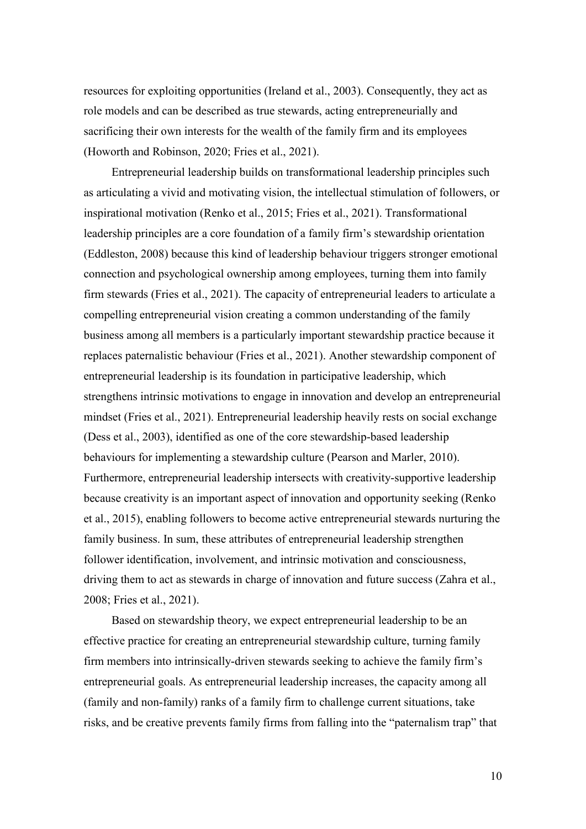resources for exploiting opportunities (Ireland et al., 2003). Consequently, they act as role models and can be described as true stewards, acting entrepreneurially and sacrificing their own interests for the wealth of the family firm and its employees (Howorth and Robinson, 2020; Fries et al., 2021).

Entrepreneurial leadership builds on transformational leadership principles such as articulating a vivid and motivating vision, the intellectual stimulation of followers, or inspirational motivation (Renko et al., 2015; Fries et al., 2021). Transformational leadership principles are a core foundation of a family firm's stewardship orientation (Eddleston, 2008) because this kind of leadership behaviour triggers stronger emotional connection and psychological ownership among employees, turning them into family firm stewards (Fries et al., 2021). The capacity of entrepreneurial leaders to articulate a compelling entrepreneurial vision creating a common understanding of the family business among all members is a particularly important stewardship practice because it replaces paternalistic behaviour (Fries et al., 2021). Another stewardship component of entrepreneurial leadership is its foundation in participative leadership, which strengthens intrinsic motivations to engage in innovation and develop an entrepreneurial mindset (Fries et al., 2021). Entrepreneurial leadership heavily rests on social exchange (Dess et al., 2003), identified as one of the core stewardship-based leadership behaviours for implementing a stewardship culture (Pearson and Marler, 2010). Furthermore, entrepreneurial leadership intersects with creativity-supportive leadership because creativity is an important aspect of innovation and opportunity seeking (Renko et al., 2015), enabling followers to become active entrepreneurial stewards nurturing the family business. In sum, these attributes of entrepreneurial leadership strengthen follower identification, involvement, and intrinsic motivation and consciousness, driving them to act as stewards in charge of innovation and future success (Zahra et al., 2008; Fries et al., 2021).

Based on stewardship theory, we expect entrepreneurial leadership to be an effective practice for creating an entrepreneurial stewardship culture, turning family firm members into intrinsically-driven stewards seeking to achieve the family firm's entrepreneurial goals. As entrepreneurial leadership increases, the capacity among all (family and non-family) ranks of a family firm to challenge current situations, take risks, and be creative prevents family firms from falling into the "paternalism trap" that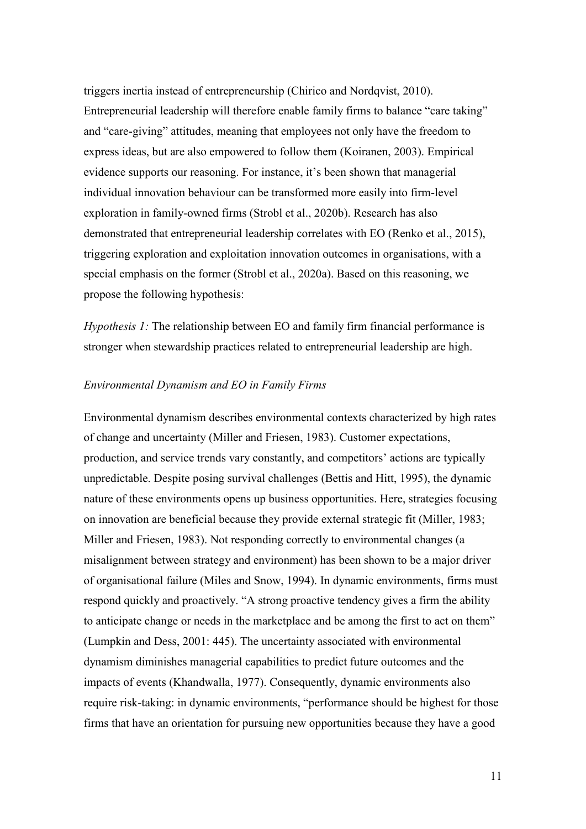triggers inertia instead of entrepreneurship (Chirico and Nordqvist, 2010). Entrepreneurial leadership will therefore enable family firms to balance "care taking" and "care-giving" attitudes, meaning that employees not only have the freedom to express ideas, but are also empowered to follow them (Koiranen, 2003). Empirical evidence supports our reasoning. For instance, it's been shown that managerial individual innovation behaviour can be transformed more easily into firm-level exploration in family-owned firms (Strobl et al., 2020b). Research has also demonstrated that entrepreneurial leadership correlates with EO (Renko et al., 2015), triggering exploration and exploitation innovation outcomes in organisations, with a special emphasis on the former (Strobl et al., 2020a). Based on this reasoning, we propose the following hypothesis:

*Hypothesis 1:* The relationship between EO and family firm financial performance is stronger when stewardship practices related to entrepreneurial leadership are high.

## *Environmental Dynamism and EO in Family Firms*

Environmental dynamism describes environmental contexts characterized by high rates of change and uncertainty (Miller and Friesen, 1983). Customer expectations, production, and service trends vary constantly, and competitors' actions are typically unpredictable. Despite posing survival challenges (Bettis and Hitt, 1995), the dynamic nature of these environments opens up business opportunities. Here, strategies focusing on innovation are beneficial because they provide external strategic fit (Miller, 1983; Miller and Friesen, 1983). Not responding correctly to environmental changes (a misalignment between strategy and environment) has been shown to be a major driver of organisational failure (Miles and Snow, 1994). In dynamic environments, firms must respond quickly and proactively. "A strong proactive tendency gives a firm the ability to anticipate change or needs in the marketplace and be among the first to act on them" (Lumpkin and Dess, 2001: 445). The uncertainty associated with environmental dynamism diminishes managerial capabilities to predict future outcomes and the impacts of events (Khandwalla, 1977). Consequently, dynamic environments also require risk-taking: in dynamic environments, "performance should be highest for those firms that have an orientation for pursuing new opportunities because they have a good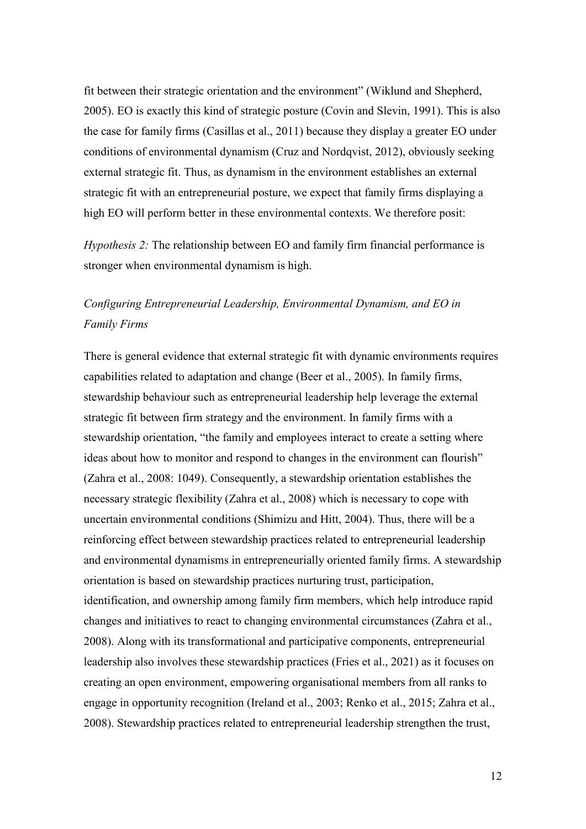fit between their strategic orientation and the environment" (Wiklund and Shepherd, 2005). EO is exactly this kind of strategic posture (Covin and Slevin, 1991). This is also the case for family firms (Casillas et al., 2011) because they display a greater EO under conditions of environmental dynamism (Cruz and Nordqvist, 2012), obviously seeking external strategic fit. Thus, as dynamism in the environment establishes an external strategic fit with an entrepreneurial posture, we expect that family firms displaying a high EO will perform better in these environmental contexts. We therefore posit:

*Hypothesis 2:* The relationship between EO and family firm financial performance is stronger when environmental dynamism is high.

# *Configuring Entrepreneurial Leadership, Environmental Dynamism, and EO in Family Firms*

There is general evidence that external strategic fit with dynamic environments requires capabilities related to adaptation and change (Beer et al., 2005). In family firms, stewardship behaviour such as entrepreneurial leadership help leverage the external strategic fit between firm strategy and the environment. In family firms with a stewardship orientation, "the family and employees interact to create a setting where ideas about how to monitor and respond to changes in the environment can flourish" (Zahra et al., 2008: 1049). Consequently, a stewardship orientation establishes the necessary strategic flexibility (Zahra et al., 2008) which is necessary to cope with uncertain environmental conditions (Shimizu and Hitt, 2004). Thus, there will be a reinforcing effect between stewardship practices related to entrepreneurial leadership and environmental dynamisms in entrepreneurially oriented family firms. A stewardship orientation is based on stewardship practices nurturing trust, participation, identification, and ownership among family firm members, which help introduce rapid changes and initiatives to react to changing environmental circumstances (Zahra et al., 2008). Along with its transformational and participative components, entrepreneurial leadership also involves these stewardship practices (Fries et al., 2021) as it focuses on creating an open environment, empowering organisational members from all ranks to engage in opportunity recognition (Ireland et al., 2003; Renko et al., 2015; Zahra et al., 2008). Stewardship practices related to entrepreneurial leadership strengthen the trust,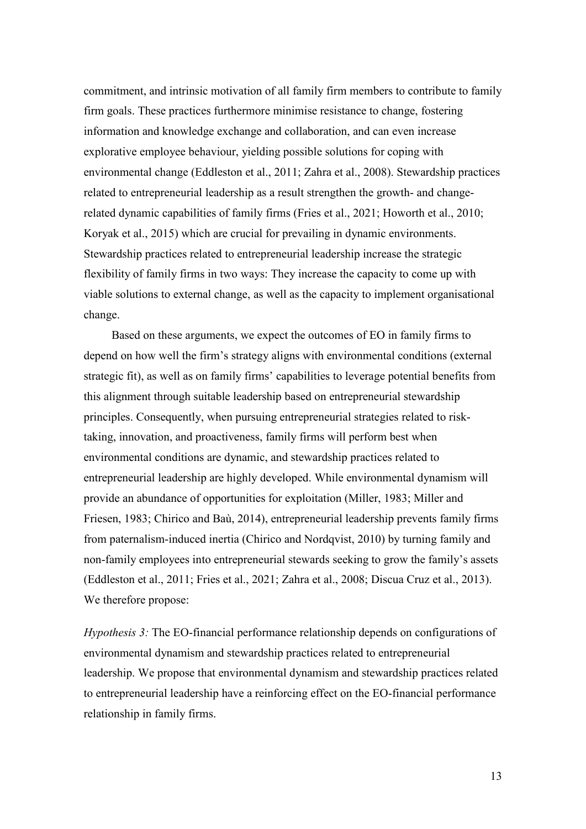commitment, and intrinsic motivation of all family firm members to contribute to family firm goals. These practices furthermore minimise resistance to change, fostering information and knowledge exchange and collaboration, and can even increase explorative employee behaviour, yielding possible solutions for coping with environmental change (Eddleston et al., 2011; Zahra et al., 2008). Stewardship practices related to entrepreneurial leadership as a result strengthen the growth- and changerelated dynamic capabilities of family firms (Fries et al., 2021; Howorth et al., 2010; Koryak et al., 2015) which are crucial for prevailing in dynamic environments. Stewardship practices related to entrepreneurial leadership increase the strategic flexibility of family firms in two ways: They increase the capacity to come up with viable solutions to external change, as well as the capacity to implement organisational change.

Based on these arguments, we expect the outcomes of EO in family firms to depend on how well the firm's strategy aligns with environmental conditions (external strategic fit), as well as on family firms' capabilities to leverage potential benefits from this alignment through suitable leadership based on entrepreneurial stewardship principles. Consequently, when pursuing entrepreneurial strategies related to risktaking, innovation, and proactiveness, family firms will perform best when environmental conditions are dynamic, and stewardship practices related to entrepreneurial leadership are highly developed. While environmental dynamism will provide an abundance of opportunities for exploitation (Miller, 1983; Miller and Friesen, 1983; Chirico and Baù, 2014), entrepreneurial leadership prevents family firms from paternalism-induced inertia (Chirico and Nordqvist, 2010) by turning family and non-family employees into entrepreneurial stewards seeking to grow the family's assets (Eddleston et al., 2011; Fries et al., 2021; Zahra et al., 2008; Discua Cruz et al., 2013). We therefore propose:

*Hypothesis 3:* The EO-financial performance relationship depends on configurations of environmental dynamism and stewardship practices related to entrepreneurial leadership. We propose that environmental dynamism and stewardship practices related to entrepreneurial leadership have a reinforcing effect on the EO-financial performance relationship in family firms.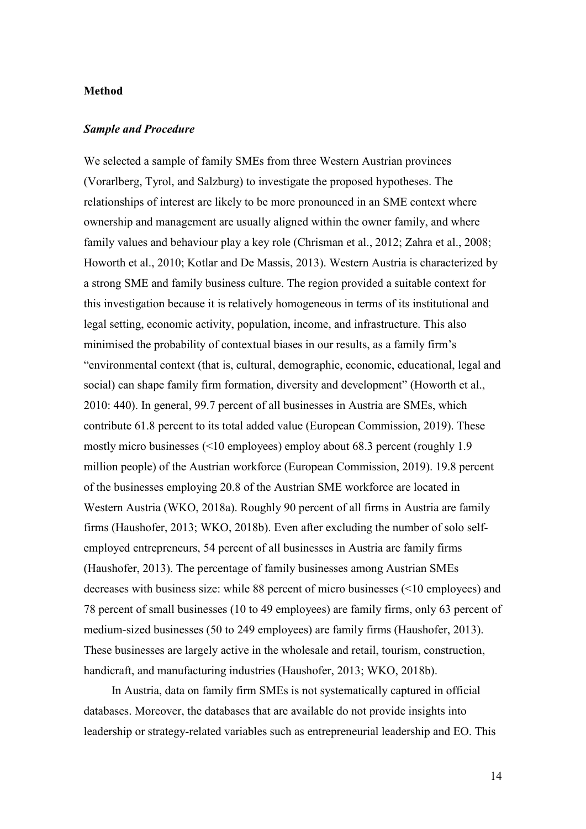## **Method**

#### *Sample and Procedure*

We selected a sample of family SMEs from three Western Austrian provinces (Vorarlberg, Tyrol, and Salzburg) to investigate the proposed hypotheses. The relationships of interest are likely to be more pronounced in an SME context where ownership and management are usually aligned within the owner family, and where family values and behaviour play a key role (Chrisman et al., 2012; Zahra et al., 2008; Howorth et al., 2010; Kotlar and De Massis, 2013). Western Austria is characterized by a strong SME and family business culture. The region provided a suitable context for this investigation because it is relatively homogeneous in terms of its institutional and legal setting, economic activity, population, income, and infrastructure. This also minimised the probability of contextual biases in our results, as a family firm's "environmental context (that is, cultural, demographic, economic, educational, legal and social) can shape family firm formation, diversity and development" (Howorth et al., 2010: 440). In general, 99.7 percent of all businesses in Austria are SMEs, which contribute 61.8 percent to its total added value (European Commission, 2019). These mostly micro businesses (<10 employees) employ about 68.3 percent (roughly 1.9 million people) of the Austrian workforce (European Commission, 2019). 19.8 percent of the businesses employing 20.8 of the Austrian SME workforce are located in Western Austria (WKO, 2018a). Roughly 90 percent of all firms in Austria are family firms (Haushofer, 2013; WKO, 2018b). Even after excluding the number of solo selfemployed entrepreneurs, 54 percent of all businesses in Austria are family firms (Haushofer, 2013). The percentage of family businesses among Austrian SMEs decreases with business size: while 88 percent of micro businesses (<10 employees) and 78 percent of small businesses (10 to 49 employees) are family firms, only 63 percent of medium-sized businesses (50 to 249 employees) are family firms (Haushofer, 2013). These businesses are largely active in the wholesale and retail, tourism, construction, handicraft, and manufacturing industries (Haushofer, 2013; WKO, 2018b).

In Austria, data on family firm SMEs is not systematically captured in official databases. Moreover, the databases that are available do not provide insights into leadership or strategy-related variables such as entrepreneurial leadership and EO. This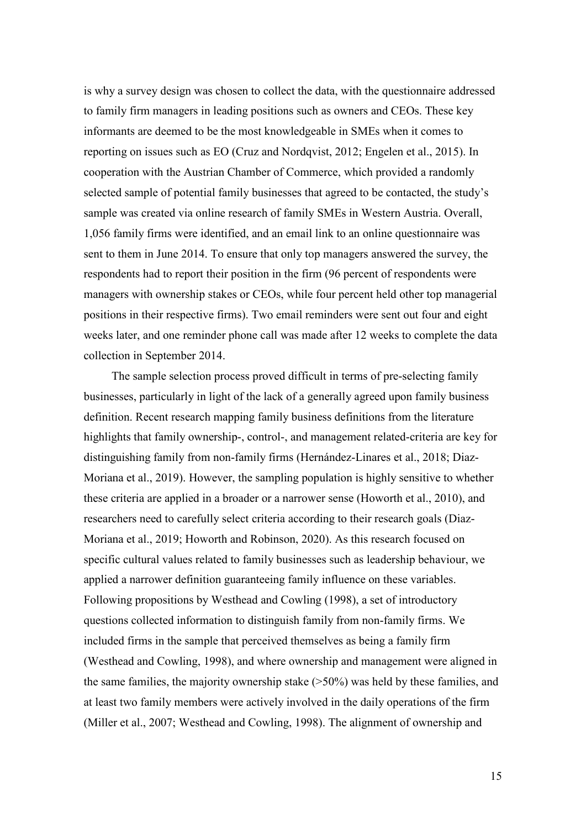is why a survey design was chosen to collect the data, with the questionnaire addressed to family firm managers in leading positions such as owners and CEOs. These key informants are deemed to be the most knowledgeable in SMEs when it comes to reporting on issues such as EO (Cruz and Nordqvist, 2012; Engelen et al., 2015). In cooperation with the Austrian Chamber of Commerce, which provided a randomly selected sample of potential family businesses that agreed to be contacted, the study's sample was created via online research of family SMEs in Western Austria. Overall, 1,056 family firms were identified, and an email link to an online questionnaire was sent to them in June 2014. To ensure that only top managers answered the survey, the respondents had to report their position in the firm (96 percent of respondents were managers with ownership stakes or CEOs, while four percent held other top managerial positions in their respective firms). Two email reminders were sent out four and eight weeks later, and one reminder phone call was made after 12 weeks to complete the data collection in September 2014.

The sample selection process proved difficult in terms of pre-selecting family businesses, particularly in light of the lack of a generally agreed upon family business definition. Recent research mapping family business definitions from the literature highlights that family ownership-, control-, and management related-criteria are key for distinguishing family from non-family firms (Hernández-Linares et al., 2018; Diaz-Moriana et al., 2019). However, the sampling population is highly sensitive to whether these criteria are applied in a broader or a narrower sense (Howorth et al., 2010), and researchers need to carefully select criteria according to their research goals (Diaz-Moriana et al., 2019; Howorth and Robinson, 2020). As this research focused on specific cultural values related to family businesses such as leadership behaviour, we applied a narrower definition guaranteeing family influence on these variables. Following propositions by Westhead and Cowling (1998), a set of introductory questions collected information to distinguish family from non-family firms. We included firms in the sample that perceived themselves as being a family firm (Westhead and Cowling, 1998), and where ownership and management were aligned in the same families, the majority ownership stake (>50%) was held by these families, and at least two family members were actively involved in the daily operations of the firm (Miller et al., 2007; Westhead and Cowling, 1998). The alignment of ownership and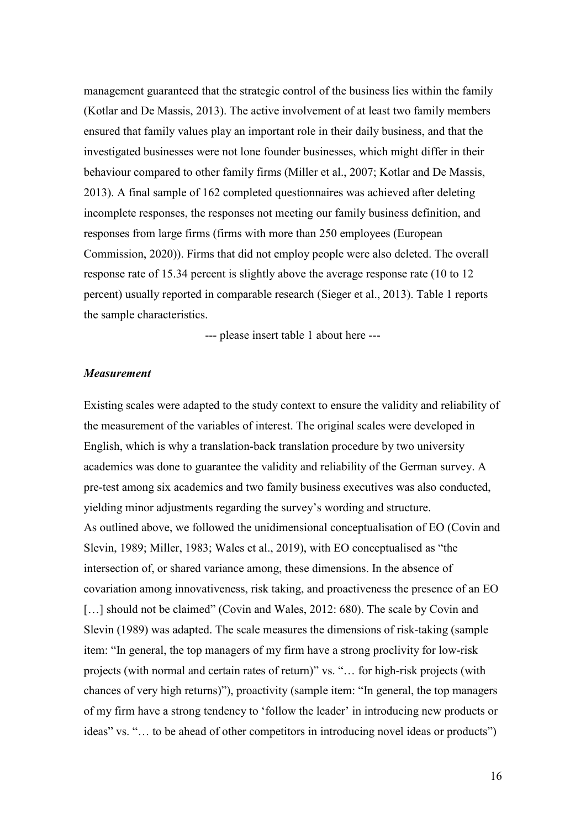management guaranteed that the strategic control of the business lies within the family (Kotlar and De Massis, 2013). The active involvement of at least two family members ensured that family values play an important role in their daily business, and that the investigated businesses were not lone founder businesses, which might differ in their behaviour compared to other family firms (Miller et al., 2007; Kotlar and De Massis, 2013). A final sample of 162 completed questionnaires was achieved after deleting incomplete responses, the responses not meeting our family business definition, and responses from large firms (firms with more than 250 employees (European Commission, 2020)). Firms that did not employ people were also deleted. The overall response rate of 15.34 percent is slightly above the average response rate (10 to 12 percent) usually reported in comparable research (Sieger et al., 2013). Table 1 reports the sample characteristics.

--- please insert table 1 about here ---

#### *Measurement*

Existing scales were adapted to the study context to ensure the validity and reliability of the measurement of the variables of interest. The original scales were developed in English, which is why a translation-back translation procedure by two university academics was done to guarantee the validity and reliability of the German survey. A pre-test among six academics and two family business executives was also conducted, yielding minor adjustments regarding the survey's wording and structure. As outlined above, we followed the unidimensional conceptualisation of EO (Covin and Slevin, 1989; Miller, 1983; Wales et al., 2019), with EO conceptualised as "the intersection of, or shared variance among, these dimensions. In the absence of covariation among innovativeness, risk taking, and proactiveness the presence of an EO [...] should not be claimed" (Covin and Wales, 2012: 680). The scale by Covin and Slevin (1989) was adapted. The scale measures the dimensions of risk-taking (sample item: "In general, the top managers of my firm have a strong proclivity for low-risk projects (with normal and certain rates of return)" vs. "… for high-risk projects (with chances of very high returns)"), proactivity (sample item: "In general, the top managers of my firm have a strong tendency to 'follow the leader' in introducing new products or ideas" vs. "… to be ahead of other competitors in introducing novel ideas or products")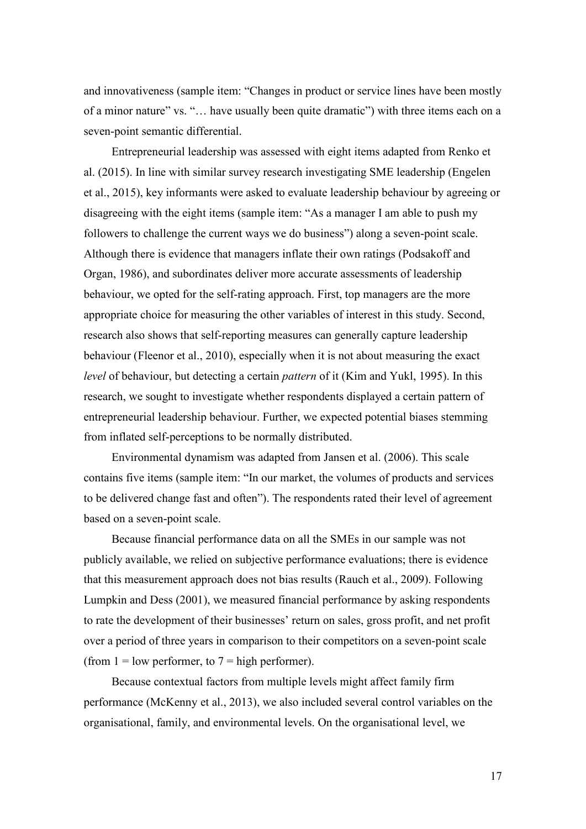and innovativeness (sample item: "Changes in product or service lines have been mostly of a minor nature" vs. "… have usually been quite dramatic") with three items each on a seven-point semantic differential.

Entrepreneurial leadership was assessed with eight items adapted from Renko et al. (2015). In line with similar survey research investigating SME leadership (Engelen et al., 2015), key informants were asked to evaluate leadership behaviour by agreeing or disagreeing with the eight items (sample item: "As a manager I am able to push my followers to challenge the current ways we do business") along a seven-point scale. Although there is evidence that managers inflate their own ratings (Podsakoff and Organ, 1986), and subordinates deliver more accurate assessments of leadership behaviour, we opted for the self-rating approach. First, top managers are the more appropriate choice for measuring the other variables of interest in this study. Second, research also shows that self-reporting measures can generally capture leadership behaviour (Fleenor et al., 2010), especially when it is not about measuring the exact *level* of behaviour, but detecting a certain *pattern* of it (Kim and Yukl, 1995). In this research, we sought to investigate whether respondents displayed a certain pattern of entrepreneurial leadership behaviour. Further, we expected potential biases stemming from inflated self-perceptions to be normally distributed.

Environmental dynamism was adapted from Jansen et al. (2006). This scale contains five items (sample item: "In our market, the volumes of products and services to be delivered change fast and often"). The respondents rated their level of agreement based on a seven-point scale.

Because financial performance data on all the SMEs in our sample was not publicly available, we relied on subjective performance evaluations; there is evidence that this measurement approach does not bias results (Rauch et al., 2009). Following Lumpkin and Dess (2001), we measured financial performance by asking respondents to rate the development of their businesses' return on sales, gross profit, and net profit over a period of three years in comparison to their competitors on a seven-point scale (from  $1 =$  low performer, to  $7 =$  high performer).

Because contextual factors from multiple levels might affect family firm performance (McKenny et al., 2013), we also included several control variables on the organisational, family, and environmental levels. On the organisational level, we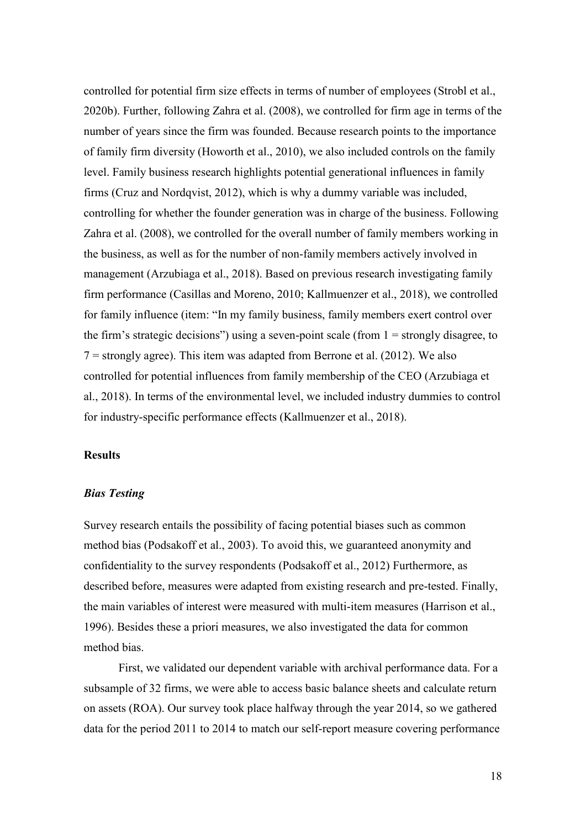controlled for potential firm size effects in terms of number of employees (Strobl et al., 2020b). Further, following Zahra et al. (2008), we controlled for firm age in terms of the number of years since the firm was founded. Because research points to the importance of family firm diversity (Howorth et al., 2010), we also included controls on the family level. Family business research highlights potential generational influences in family firms (Cruz and Nordqvist, 2012), which is why a dummy variable was included, controlling for whether the founder generation was in charge of the business. Following Zahra et al. (2008), we controlled for the overall number of family members working in the business, as well as for the number of non-family members actively involved in management (Arzubiaga et al., 2018). Based on previous research investigating family firm performance (Casillas and Moreno, 2010; Kallmuenzer et al., 2018), we controlled for family influence (item: "In my family business, family members exert control over the firm's strategic decisions") using a seven-point scale (from  $1 =$  strongly disagree, to  $7 =$  strongly agree). This item was adapted from Berrone et al. (2012). We also controlled for potential influences from family membership of the CEO (Arzubiaga et al., 2018). In terms of the environmental level, we included industry dummies to control for industry-specific performance effects (Kallmuenzer et al., 2018).

## **Results**

### *Bias Testing*

Survey research entails the possibility of facing potential biases such as common method bias (Podsakoff et al., 2003). To avoid this, we guaranteed anonymity and confidentiality to the survey respondents (Podsakoff et al., 2012) Furthermore, as described before, measures were adapted from existing research and pre-tested. Finally, the main variables of interest were measured with multi-item measures (Harrison et al., 1996). Besides these a priori measures, we also investigated the data for common method bias.

First, we validated our dependent variable with archival performance data. For a subsample of 32 firms, we were able to access basic balance sheets and calculate return on assets (ROA). Our survey took place halfway through the year 2014, so we gathered data for the period 2011 to 2014 to match our self-report measure covering performance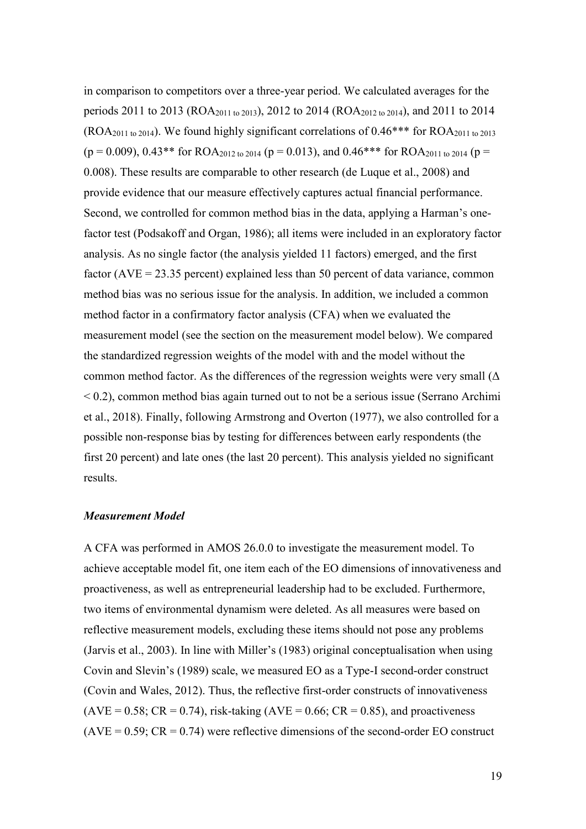in comparison to competitors over a three-year period. We calculated averages for the periods 2011 to 2013 (ROA2011 to 2013), 2012 to 2014 (ROA2012 to 2014), and 2011 to 2014  $(ROA<sub>2011 to 2014</sub>)$ . We found highly significant correlations of  $0.46***$  for  $ROA<sub>2011 to 2013</sub>$  $(p = 0.009)$ , 0.43\*\* for ROA<sub>2012 to 2014</sub> ( $p = 0.013$ ), and 0.46\*\*\* for ROA<sub>2011 to 2014</sub> ( $p =$ 0.008). These results are comparable to other research (de Luque et al., 2008) and provide evidence that our measure effectively captures actual financial performance. Second, we controlled for common method bias in the data, applying a Harman's onefactor test (Podsakoff and Organ, 1986); all items were included in an exploratory factor analysis. As no single factor (the analysis yielded 11 factors) emerged, and the first factor  $(AVE = 23.35$  percent) explained less than 50 percent of data variance, common method bias was no serious issue for the analysis. In addition, we included a common method factor in a confirmatory factor analysis (CFA) when we evaluated the measurement model (see the section on the measurement model below). We compared the standardized regression weights of the model with and the model without the common method factor. As the differences of the regression weights were very small  $(\Delta)$  $<$  0.2), common method bias again turned out to not be a serious issue (Serrano Archimi et al., 2018). Finally, following Armstrong and Overton (1977), we also controlled for a possible non-response bias by testing for differences between early respondents (the first 20 percent) and late ones (the last 20 percent). This analysis yielded no significant results.

#### *Measurement Model*

A CFA was performed in AMOS 26.0.0 to investigate the measurement model. To achieve acceptable model fit, one item each of the EO dimensions of innovativeness and proactiveness, as well as entrepreneurial leadership had to be excluded. Furthermore, two items of environmental dynamism were deleted. As all measures were based on reflective measurement models, excluding these items should not pose any problems (Jarvis et al., 2003). In line with Miller's (1983) original conceptualisation when using Covin and Slevin's (1989) scale, we measured EO as a Type-I second-order construct (Covin and Wales, 2012). Thus, the reflective first-order constructs of innovativeness  $(AVE = 0.58; CR = 0.74)$ , risk-taking  $(AVE = 0.66; CR = 0.85)$ , and proactiveness  $(AVE = 0.59; CR = 0.74)$  were reflective dimensions of the second-order EO construct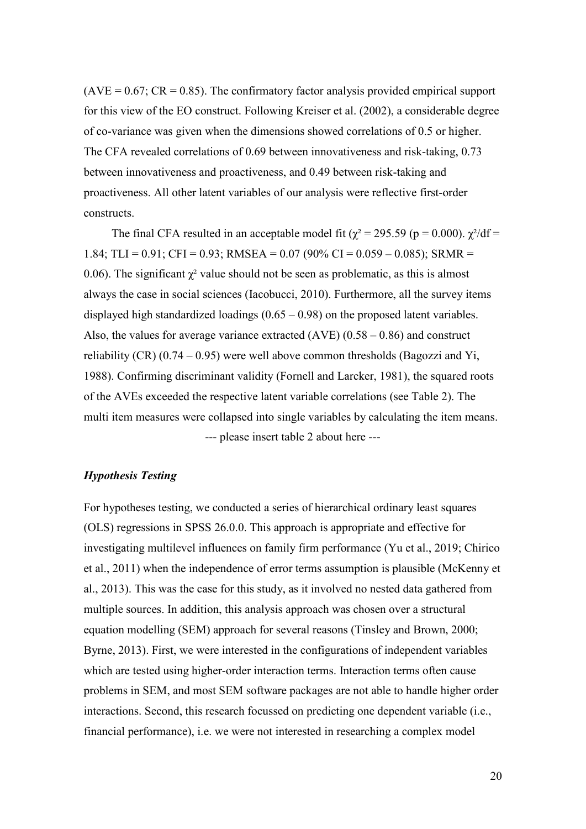$(AVE = 0.67; CR = 0.85)$ . The confirmatory factor analysis provided empirical support for this view of the EO construct. Following Kreiser et al. (2002), a considerable degree of co-variance was given when the dimensions showed correlations of 0.5 or higher. The CFA revealed correlations of 0.69 between innovativeness and risk-taking, 0.73 between innovativeness and proactiveness, and 0.49 between risk-taking and proactiveness. All other latent variables of our analysis were reflective first-order constructs.

The final CFA resulted in an acceptable model fit ( $\chi^2 = 295.59$  (p = 0.000).  $\chi^2/df =$ 1.84; TLI =  $0.91$ ; CFI =  $0.93$ ; RMSEA =  $0.07$  (90% CI =  $0.059 - 0.085$ ); SRMR = 0.06). The significant  $\chi^2$  value should not be seen as problematic, as this is almost always the case in social sciences (Iacobucci, 2010). Furthermore, all the survey items displayed high standardized loadings  $(0.65 - 0.98)$  on the proposed latent variables. Also, the values for average variance extracted  $(AVE)$   $(0.58 - 0.86)$  and construct reliability (CR)  $(0.74 - 0.95)$  were well above common thresholds (Bagozzi and Yi, 1988). Confirming discriminant validity (Fornell and Larcker, 1981), the squared roots of the AVEs exceeded the respective latent variable correlations (see Table 2). The multi item measures were collapsed into single variables by calculating the item means. --- please insert table 2 about here ---

## *Hypothesis Testing*

For hypotheses testing, we conducted a series of hierarchical ordinary least squares (OLS) regressions in SPSS 26.0.0. This approach is appropriate and effective for investigating multilevel influences on family firm performance (Yu et al., 2019; Chirico et al., 2011) when the independence of error terms assumption is plausible (McKenny et al., 2013). This was the case for this study, as it involved no nested data gathered from multiple sources. In addition, this analysis approach was chosen over a structural equation modelling (SEM) approach for several reasons (Tinsley and Brown, 2000; Byrne, 2013). First, we were interested in the configurations of independent variables which are tested using higher-order interaction terms. Interaction terms often cause problems in SEM, and most SEM software packages are not able to handle higher order interactions. Second, this research focussed on predicting one dependent variable (i.e., financial performance), i.e. we were not interested in researching a complex model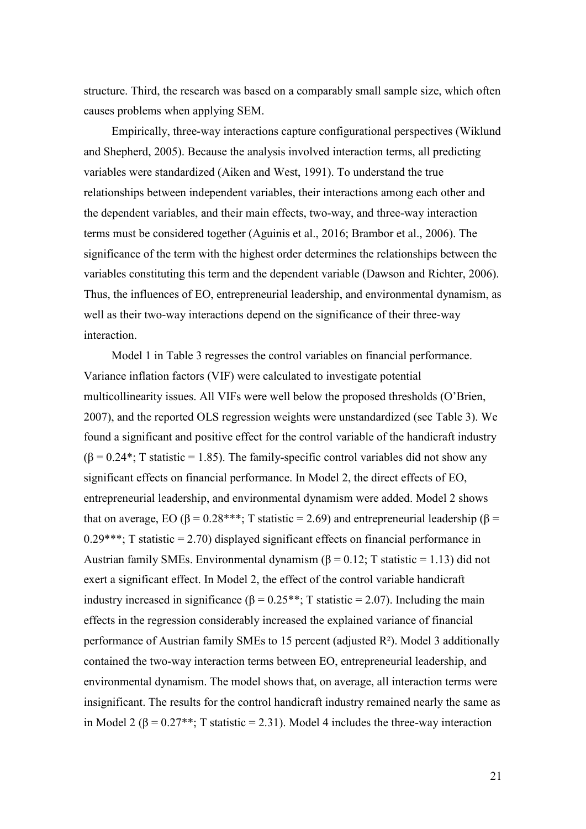structure. Third, the research was based on a comparably small sample size, which often causes problems when applying SEM.

Empirically, three-way interactions capture configurational perspectives (Wiklund and Shepherd, 2005). Because the analysis involved interaction terms, all predicting variables were standardized (Aiken and West, 1991). To understand the true relationships between independent variables, their interactions among each other and the dependent variables, and their main effects, two-way, and three-way interaction terms must be considered together (Aguinis et al., 2016; Brambor et al., 2006). The significance of the term with the highest order determines the relationships between the variables constituting this term and the dependent variable (Dawson and Richter, 2006). Thus, the influences of EO, entrepreneurial leadership, and environmental dynamism, as well as their two-way interactions depend on the significance of their three-way interaction.

Model 1 in Table 3 regresses the control variables on financial performance. Variance inflation factors (VIF) were calculated to investigate potential multicollinearity issues. All VIFs were well below the proposed thresholds (O'Brien, 2007), and the reported OLS regression weights were unstandardized (see Table 3). We found a significant and positive effect for the control variable of the handicraft industry  $(\beta = 0.24^{\ast})$ ; T statistic = 1.85). The family-specific control variables did not show any significant effects on financial performance. In Model 2, the direct effects of EO, entrepreneurial leadership, and environmental dynamism were added. Model 2 shows that on average, EO ( $\beta$  = 0.28\*\*\*; T statistic = 2.69) and entrepreneurial leadership ( $\beta$  =  $0.29***$ ; T statistic = 2.70) displayed significant effects on financial performance in Austrian family SMEs. Environmental dynamism ( $\beta$  = 0.12; T statistic = 1.13) did not exert a significant effect. In Model 2, the effect of the control variable handicraft industry increased in significance ( $\beta = 0.25$ \*\*; T statistic = 2.07). Including the main effects in the regression considerably increased the explained variance of financial performance of Austrian family SMEs to 15 percent (adjusted R²). Model 3 additionally contained the two-way interaction terms between EO, entrepreneurial leadership, and environmental dynamism. The model shows that, on average, all interaction terms were insignificant. The results for the control handicraft industry remained nearly the same as in Model 2 ( $\beta$  = 0.27<sup>\*\*</sup>; T statistic = 2.31). Model 4 includes the three-way interaction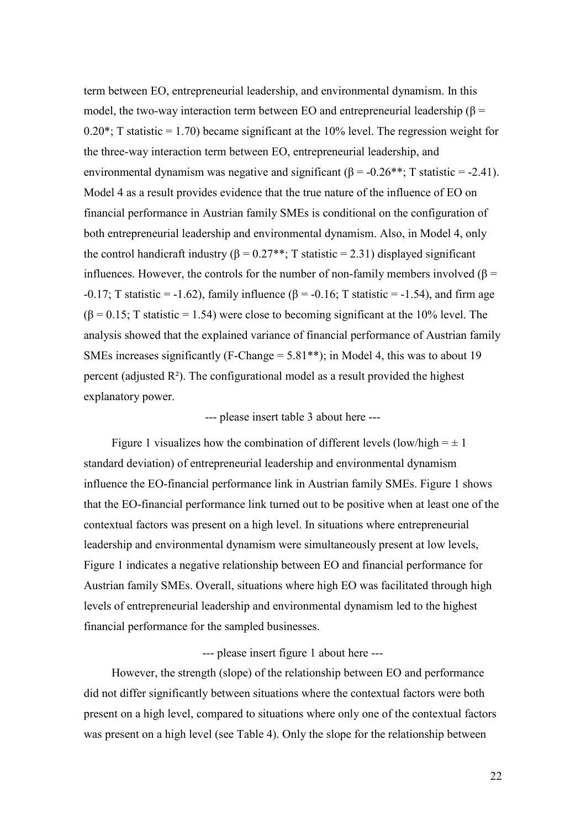term between EO, entrepreneurial leadership, and environmental dynamism. In this model, the two-way interaction term between EO and entrepreneurial leadership (β =  $0.20^*$ ; T statistic = 1.70) became significant at the 10% level. The regression weight for the three-way interaction term between EO, entrepreneurial leadership, and environmental dynamism was negative and significant ( $\beta$  = -0.26<sup>\*\*</sup>; T statistic = -2.41). Model 4 as a result provides evidence that the true nature of the influence of EO on financial performance in Austrian family SMEs is conditional on the configuration of both entrepreneurial leadership and environmental dynamism. Also, in Model 4, only the control handicraft industry ( $\beta = 0.27$ <sup>\*\*</sup>; T statistic = 2.31) displayed significant influences. However, the controls for the number of non-family members involved ( $\beta$  =  $-0.17$ ; T statistic =  $-1.62$ ), family influence ( $\beta$  =  $-0.16$ ; T statistic =  $-1.54$ ), and firm age  $(\beta = 0.15; T \text{ statistic} = 1.54)$  were close to becoming significant at the 10% level. The analysis showed that the explained variance of financial performance of Austrian family SMEs increases significantly (F-Change  $= 5.81**$ ); in Model 4, this was to about 19 percent (adjusted  $R^2$ ). The configurational model as a result provided the highest explanatory power.

## --- please insert table 3 about here ---

Figure 1 visualizes how the combination of different levels (low/high  $= \pm 1$ ) standard deviation) of entrepreneurial leadership and environmental dynamism influence the EO-financial performance link in Austrian family SMEs. Figure 1 shows that the EO-financial performance link turned out to be positive when at least one of the contextual factors was present on a high level. In situations where entrepreneurial leadership and environmental dynamism were simultaneously present at low levels, Figure 1 indicates a negative relationship between EO and financial performance for Austrian family SMEs. Overall, situations where high EO was facilitated through high levels of entrepreneurial leadership and environmental dynamism led to the highest financial performance for the sampled businesses.

## --- please insert figure 1 about here ---

However, the strength (slope) of the relationship between EO and performance did not differ significantly between situations where the contextual factors were both present on a high level, compared to situations where only one of the contextual factors was present on a high level (see Table 4). Only the slope for the relationship between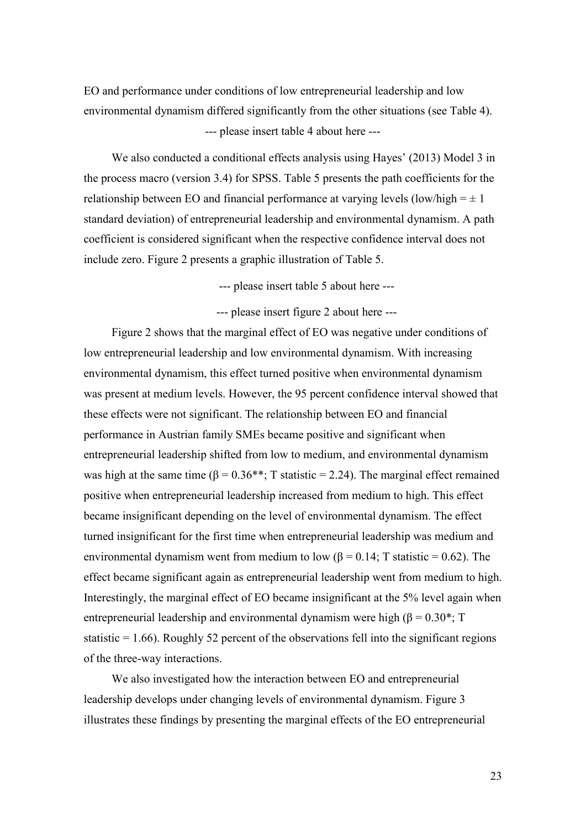EO and performance under conditions of low entrepreneurial leadership and low environmental dynamism differed significantly from the other situations (see Table 4). --- please insert table 4 about here ---

We also conducted a conditional effects analysis using Hayes' (2013) Model 3 in the process macro (version 3.4) for SPSS. Table 5 presents the path coefficients for the relationship between EO and financial performance at varying levels (low/high  $= \pm 1$ ) standard deviation) of entrepreneurial leadership and environmental dynamism. A path coefficient is considered significant when the respective confidence interval does not include zero. Figure 2 presents a graphic illustration of Table 5.

--- please insert table 5 about here ---

--- please insert figure 2 about here ---

Figure 2 shows that the marginal effect of EO was negative under conditions of low entrepreneurial leadership and low environmental dynamism. With increasing environmental dynamism, this effect turned positive when environmental dynamism was present at medium levels. However, the 95 percent confidence interval showed that these effects were not significant. The relationship between EO and financial performance in Austrian family SMEs became positive and significant when entrepreneurial leadership shifted from low to medium, and environmental dynamism was high at the same time ( $\beta = 0.36$ \*\*; T statistic = 2.24). The marginal effect remained positive when entrepreneurial leadership increased from medium to high. This effect became insignificant depending on the level of environmental dynamism. The effect turned insignificant for the first time when entrepreneurial leadership was medium and environmental dynamism went from medium to low ( $\beta = 0.14$ ; T statistic = 0.62). The effect became significant again as entrepreneurial leadership went from medium to high. Interestingly, the marginal effect of EO became insignificant at the 5% level again when entrepreneurial leadership and environmental dynamism were high ( $\beta = 0.30^*$ ; T statistic  $= 1.66$ ). Roughly 52 percent of the observations fell into the significant regions of the three-way interactions.

We also investigated how the interaction between EO and entrepreneurial leadership develops under changing levels of environmental dynamism. Figure 3 illustrates these findings by presenting the marginal effects of the EO entrepreneurial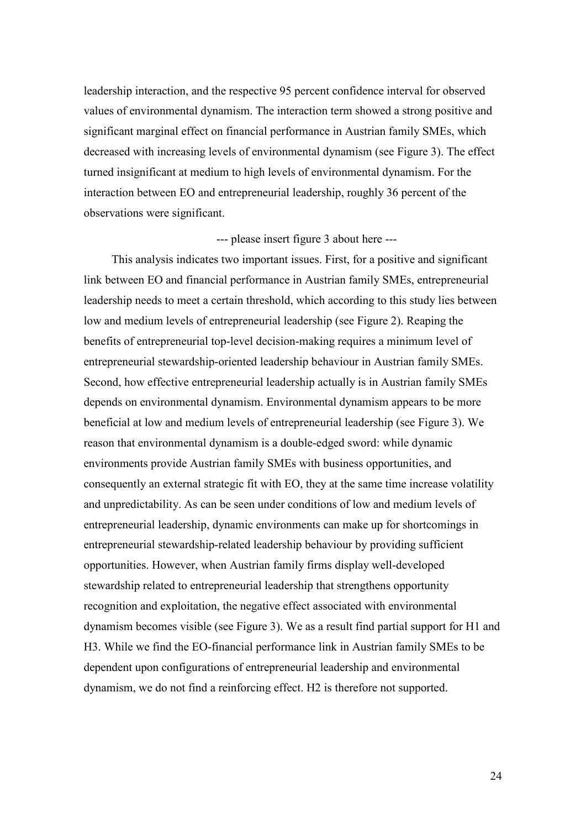leadership interaction, and the respective 95 percent confidence interval for observed values of environmental dynamism. The interaction term showed a strong positive and significant marginal effect on financial performance in Austrian family SMEs, which decreased with increasing levels of environmental dynamism (see Figure 3). The effect turned insignificant at medium to high levels of environmental dynamism. For the interaction between EO and entrepreneurial leadership, roughly 36 percent of the observations were significant.

#### --- please insert figure 3 about here ---

This analysis indicates two important issues. First, for a positive and significant link between EO and financial performance in Austrian family SMEs, entrepreneurial leadership needs to meet a certain threshold, which according to this study lies between low and medium levels of entrepreneurial leadership (see Figure 2). Reaping the benefits of entrepreneurial top-level decision-making requires a minimum level of entrepreneurial stewardship-oriented leadership behaviour in Austrian family SMEs. Second, how effective entrepreneurial leadership actually is in Austrian family SMEs depends on environmental dynamism. Environmental dynamism appears to be more beneficial at low and medium levels of entrepreneurial leadership (see Figure 3). We reason that environmental dynamism is a double-edged sword: while dynamic environments provide Austrian family SMEs with business opportunities, and consequently an external strategic fit with EO, they at the same time increase volatility and unpredictability. As can be seen under conditions of low and medium levels of entrepreneurial leadership, dynamic environments can make up for shortcomings in entrepreneurial stewardship-related leadership behaviour by providing sufficient opportunities. However, when Austrian family firms display well-developed stewardship related to entrepreneurial leadership that strengthens opportunity recognition and exploitation, the negative effect associated with environmental dynamism becomes visible (see Figure 3). We as a result find partial support for H1 and H3. While we find the EO-financial performance link in Austrian family SMEs to be dependent upon configurations of entrepreneurial leadership and environmental dynamism, we do not find a reinforcing effect. H2 is therefore not supported.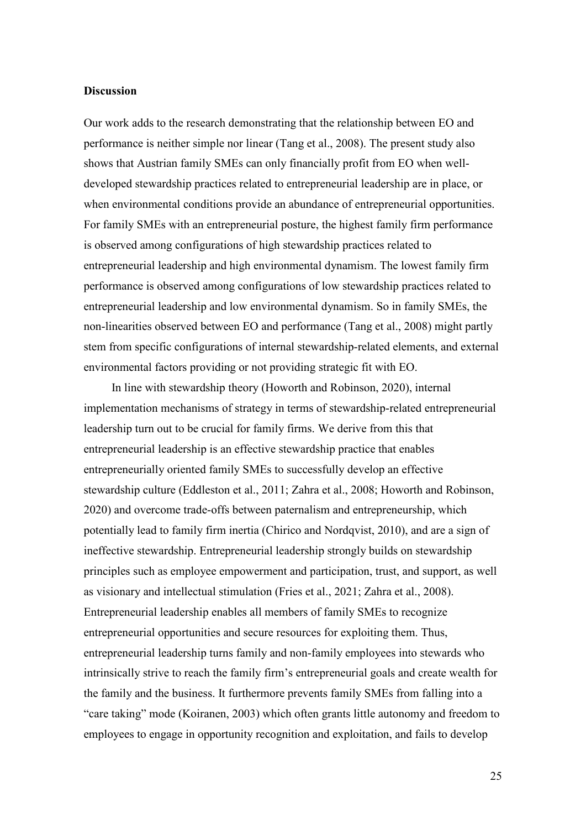#### **Discussion**

Our work adds to the research demonstrating that the relationship between EO and performance is neither simple nor linear (Tang et al., 2008). The present study also shows that Austrian family SMEs can only financially profit from EO when welldeveloped stewardship practices related to entrepreneurial leadership are in place, or when environmental conditions provide an abundance of entrepreneurial opportunities. For family SMEs with an entrepreneurial posture, the highest family firm performance is observed among configurations of high stewardship practices related to entrepreneurial leadership and high environmental dynamism. The lowest family firm performance is observed among configurations of low stewardship practices related to entrepreneurial leadership and low environmental dynamism. So in family SMEs, the non-linearities observed between EO and performance (Tang et al., 2008) might partly stem from specific configurations of internal stewardship-related elements, and external environmental factors providing or not providing strategic fit with EO.

In line with stewardship theory (Howorth and Robinson, 2020), internal implementation mechanisms of strategy in terms of stewardship-related entrepreneurial leadership turn out to be crucial for family firms. We derive from this that entrepreneurial leadership is an effective stewardship practice that enables entrepreneurially oriented family SMEs to successfully develop an effective stewardship culture (Eddleston et al., 2011; Zahra et al., 2008; Howorth and Robinson, 2020) and overcome trade-offs between paternalism and entrepreneurship, which potentially lead to family firm inertia (Chirico and Nordqvist, 2010), and are a sign of ineffective stewardship. Entrepreneurial leadership strongly builds on stewardship principles such as employee empowerment and participation, trust, and support, as well as visionary and intellectual stimulation (Fries et al., 2021; Zahra et al., 2008). Entrepreneurial leadership enables all members of family SMEs to recognize entrepreneurial opportunities and secure resources for exploiting them. Thus, entrepreneurial leadership turns family and non-family employees into stewards who intrinsically strive to reach the family firm's entrepreneurial goals and create wealth for the family and the business. It furthermore prevents family SMEs from falling into a "care taking" mode (Koiranen, 2003) which often grants little autonomy and freedom to employees to engage in opportunity recognition and exploitation, and fails to develop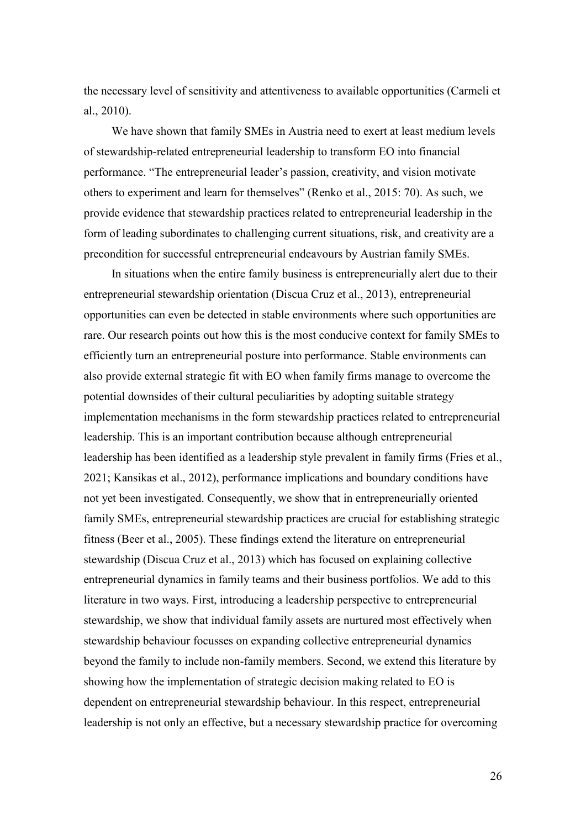the necessary level of sensitivity and attentiveness to available opportunities (Carmeli et al., 2010).

We have shown that family SMEs in Austria need to exert at least medium levels of stewardship-related entrepreneurial leadership to transform EO into financial performance. "The entrepreneurial leader's passion, creativity, and vision motivate others to experiment and learn for themselves" (Renko et al., 2015: 70). As such, we provide evidence that stewardship practices related to entrepreneurial leadership in the form of leading subordinates to challenging current situations, risk, and creativity are a precondition for successful entrepreneurial endeavours by Austrian family SMEs.

In situations when the entire family business is entrepreneurially alert due to their entrepreneurial stewardship orientation (Discua Cruz et al., 2013), entrepreneurial opportunities can even be detected in stable environments where such opportunities are rare. Our research points out how this is the most conducive context for family SMEs to efficiently turn an entrepreneurial posture into performance. Stable environments can also provide external strategic fit with EO when family firms manage to overcome the potential downsides of their cultural peculiarities by adopting suitable strategy implementation mechanisms in the form stewardship practices related to entrepreneurial leadership. This is an important contribution because although entrepreneurial leadership has been identified as a leadership style prevalent in family firms (Fries et al., 2021; Kansikas et al., 2012), performance implications and boundary conditions have not yet been investigated. Consequently, we show that in entrepreneurially oriented family SMEs, entrepreneurial stewardship practices are crucial for establishing strategic fitness (Beer et al., 2005). These findings extend the literature on entrepreneurial stewardship (Discua Cruz et al., 2013) which has focused on explaining collective entrepreneurial dynamics in family teams and their business portfolios. We add to this literature in two ways. First, introducing a leadership perspective to entrepreneurial stewardship, we show that individual family assets are nurtured most effectively when stewardship behaviour focusses on expanding collective entrepreneurial dynamics beyond the family to include non-family members. Second, we extend this literature by showing how the implementation of strategic decision making related to EO is dependent on entrepreneurial stewardship behaviour. In this respect, entrepreneurial leadership is not only an effective, but a necessary stewardship practice for overcoming

26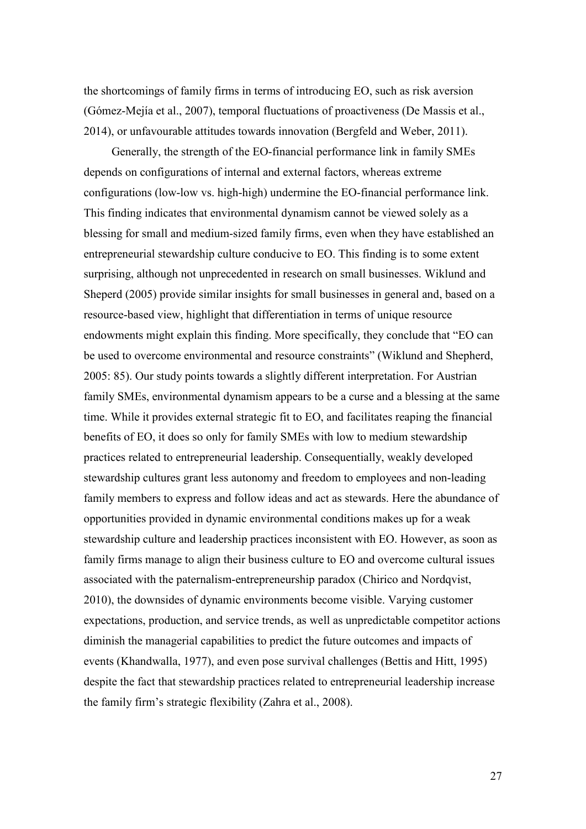the shortcomings of family firms in terms of introducing EO, such as risk aversion (Gómez-Mejía et al., 2007), temporal fluctuations of proactiveness (De Massis et al., 2014), or unfavourable attitudes towards innovation (Bergfeld and Weber, 2011).

Generally, the strength of the EO-financial performance link in family SMEs depends on configurations of internal and external factors, whereas extreme configurations (low-low vs. high-high) undermine the EO-financial performance link. This finding indicates that environmental dynamism cannot be viewed solely as a blessing for small and medium-sized family firms, even when they have established an entrepreneurial stewardship culture conducive to EO. This finding is to some extent surprising, although not unprecedented in research on small businesses. Wiklund and Sheperd (2005) provide similar insights for small businesses in general and, based on a resource-based view, highlight that differentiation in terms of unique resource endowments might explain this finding. More specifically, they conclude that "EO can be used to overcome environmental and resource constraints" (Wiklund and Shepherd, 2005: 85). Our study points towards a slightly different interpretation. For Austrian family SMEs, environmental dynamism appears to be a curse and a blessing at the same time. While it provides external strategic fit to EO, and facilitates reaping the financial benefits of EO, it does so only for family SMEs with low to medium stewardship practices related to entrepreneurial leadership. Consequentially, weakly developed stewardship cultures grant less autonomy and freedom to employees and non-leading family members to express and follow ideas and act as stewards. Here the abundance of opportunities provided in dynamic environmental conditions makes up for a weak stewardship culture and leadership practices inconsistent with EO. However, as soon as family firms manage to align their business culture to EO and overcome cultural issues associated with the paternalism-entrepreneurship paradox (Chirico and Nordqvist, 2010), the downsides of dynamic environments become visible. Varying customer expectations, production, and service trends, as well as unpredictable competitor actions diminish the managerial capabilities to predict the future outcomes and impacts of events (Khandwalla, 1977), and even pose survival challenges (Bettis and Hitt, 1995) despite the fact that stewardship practices related to entrepreneurial leadership increase the family firm's strategic flexibility (Zahra et al., 2008).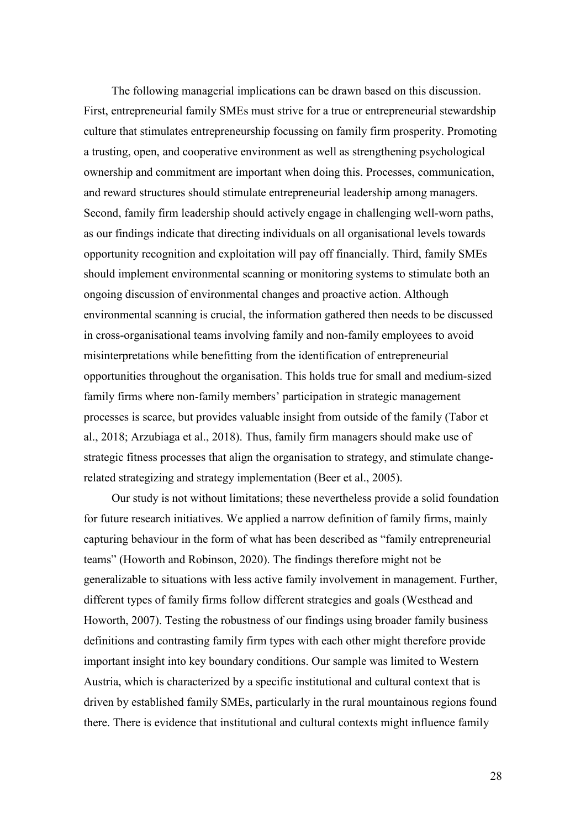The following managerial implications can be drawn based on this discussion. First, entrepreneurial family SMEs must strive for a true or entrepreneurial stewardship culture that stimulates entrepreneurship focussing on family firm prosperity. Promoting a trusting, open, and cooperative environment as well as strengthening psychological ownership and commitment are important when doing this. Processes, communication, and reward structures should stimulate entrepreneurial leadership among managers. Second, family firm leadership should actively engage in challenging well-worn paths, as our findings indicate that directing individuals on all organisational levels towards opportunity recognition and exploitation will pay off financially. Third, family SMEs should implement environmental scanning or monitoring systems to stimulate both an ongoing discussion of environmental changes and proactive action. Although environmental scanning is crucial, the information gathered then needs to be discussed in cross-organisational teams involving family and non-family employees to avoid misinterpretations while benefitting from the identification of entrepreneurial opportunities throughout the organisation. This holds true for small and medium-sized family firms where non-family members' participation in strategic management processes is scarce, but provides valuable insight from outside of the family (Tabor et al., 2018; Arzubiaga et al., 2018). Thus, family firm managers should make use of strategic fitness processes that align the organisation to strategy, and stimulate changerelated strategizing and strategy implementation (Beer et al., 2005).

Our study is not without limitations; these nevertheless provide a solid foundation for future research initiatives. We applied a narrow definition of family firms, mainly capturing behaviour in the form of what has been described as "family entrepreneurial teams" (Howorth and Robinson, 2020). The findings therefore might not be generalizable to situations with less active family involvement in management. Further, different types of family firms follow different strategies and goals (Westhead and Howorth, 2007). Testing the robustness of our findings using broader family business definitions and contrasting family firm types with each other might therefore provide important insight into key boundary conditions. Our sample was limited to Western Austria, which is characterized by a specific institutional and cultural context that is driven by established family SMEs, particularly in the rural mountainous regions found there. There is evidence that institutional and cultural contexts might influence family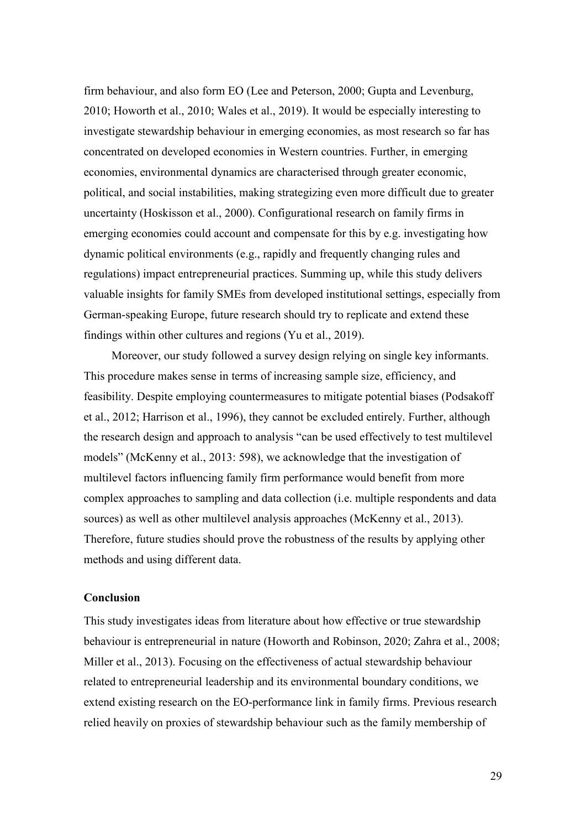firm behaviour, and also form EO (Lee and Peterson, 2000; Gupta and Levenburg, 2010; Howorth et al., 2010; Wales et al., 2019). It would be especially interesting to investigate stewardship behaviour in emerging economies, as most research so far has concentrated on developed economies in Western countries. Further, in emerging economies, environmental dynamics are characterised through greater economic, political, and social instabilities, making strategizing even more difficult due to greater uncertainty (Hoskisson et al., 2000). Configurational research on family firms in emerging economies could account and compensate for this by e.g. investigating how dynamic political environments (e.g., rapidly and frequently changing rules and regulations) impact entrepreneurial practices. Summing up, while this study delivers valuable insights for family SMEs from developed institutional settings, especially from German-speaking Europe, future research should try to replicate and extend these findings within other cultures and regions (Yu et al., 2019).

Moreover, our study followed a survey design relying on single key informants. This procedure makes sense in terms of increasing sample size, efficiency, and feasibility. Despite employing countermeasures to mitigate potential biases (Podsakoff et al., 2012; Harrison et al., 1996), they cannot be excluded entirely. Further, although the research design and approach to analysis "can be used effectively to test multilevel models" (McKenny et al., 2013: 598), we acknowledge that the investigation of multilevel factors influencing family firm performance would benefit from more complex approaches to sampling and data collection (i.e. multiple respondents and data sources) as well as other multilevel analysis approaches (McKenny et al., 2013). Therefore, future studies should prove the robustness of the results by applying other methods and using different data.

## **Conclusion**

This study investigates ideas from literature about how effective or true stewardship behaviour is entrepreneurial in nature (Howorth and Robinson, 2020; Zahra et al., 2008; Miller et al., 2013). Focusing on the effectiveness of actual stewardship behaviour related to entrepreneurial leadership and its environmental boundary conditions, we extend existing research on the EO-performance link in family firms. Previous research relied heavily on proxies of stewardship behaviour such as the family membership of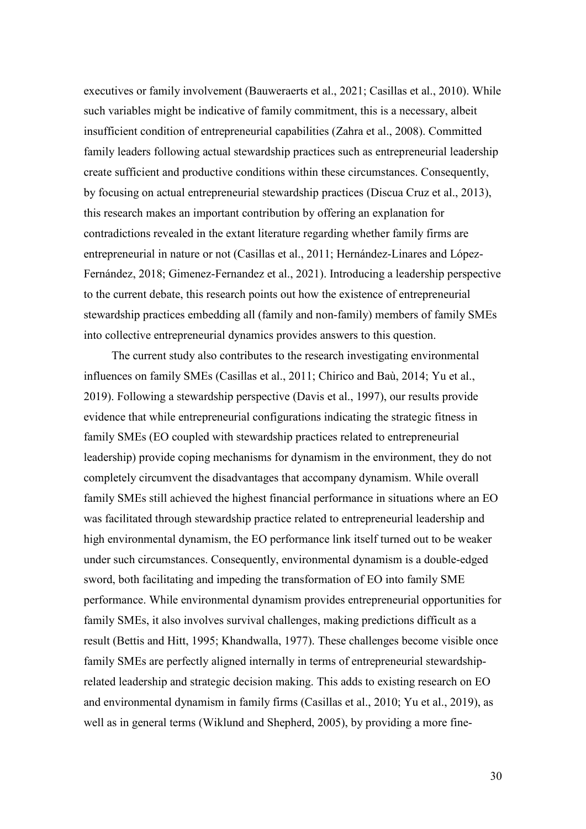executives or family involvement (Bauweraerts et al., 2021; Casillas et al., 2010). While such variables might be indicative of family commitment, this is a necessary, albeit insufficient condition of entrepreneurial capabilities (Zahra et al., 2008). Committed family leaders following actual stewardship practices such as entrepreneurial leadership create sufficient and productive conditions within these circumstances. Consequently, by focusing on actual entrepreneurial stewardship practices (Discua Cruz et al., 2013), this research makes an important contribution by offering an explanation for contradictions revealed in the extant literature regarding whether family firms are entrepreneurial in nature or not (Casillas et al., 2011; Hernández-Linares and López-Fernández, 2018; Gimenez-Fernandez et al., 2021). Introducing a leadership perspective to the current debate, this research points out how the existence of entrepreneurial stewardship practices embedding all (family and non-family) members of family SMEs into collective entrepreneurial dynamics provides answers to this question.

The current study also contributes to the research investigating environmental influences on family SMEs (Casillas et al., 2011; Chirico and Baù, 2014; Yu et al., 2019). Following a stewardship perspective (Davis et al., 1997), our results provide evidence that while entrepreneurial configurations indicating the strategic fitness in family SMEs (EO coupled with stewardship practices related to entrepreneurial leadership) provide coping mechanisms for dynamism in the environment, they do not completely circumvent the disadvantages that accompany dynamism. While overall family SMEs still achieved the highest financial performance in situations where an EO was facilitated through stewardship practice related to entrepreneurial leadership and high environmental dynamism, the EO performance link itself turned out to be weaker under such circumstances. Consequently, environmental dynamism is a double-edged sword, both facilitating and impeding the transformation of EO into family SME performance. While environmental dynamism provides entrepreneurial opportunities for family SMEs, it also involves survival challenges, making predictions difficult as a result (Bettis and Hitt, 1995; Khandwalla, 1977). These challenges become visible once family SMEs are perfectly aligned internally in terms of entrepreneurial stewardshiprelated leadership and strategic decision making. This adds to existing research on EO and environmental dynamism in family firms (Casillas et al., 2010; Yu et al., 2019), as well as in general terms (Wiklund and Shepherd, 2005), by providing a more fine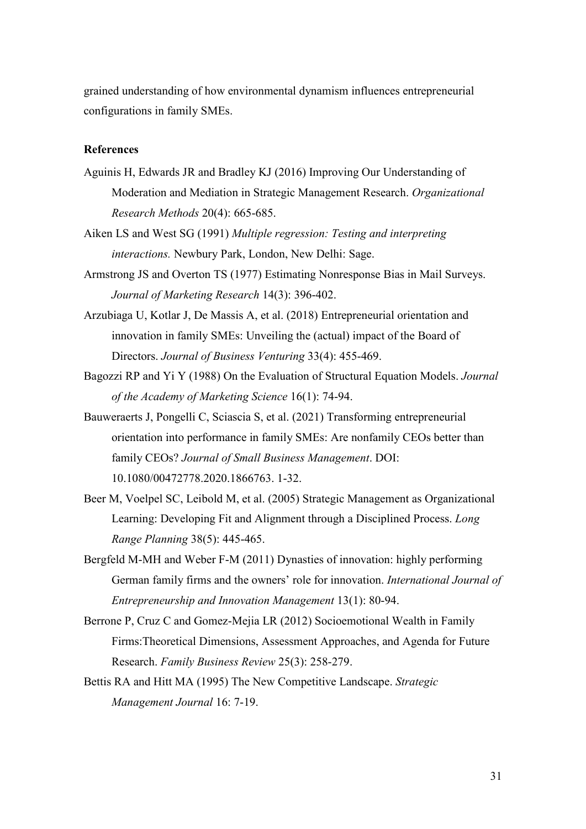grained understanding of how environmental dynamism influences entrepreneurial configurations in family SMEs.

### **References**

- Aguinis H, Edwards JR and Bradley KJ (2016) Improving Our Understanding of Moderation and Mediation in Strategic Management Research. *Organizational Research Methods* 20(4): 665-685.
- Aiken LS and West SG (1991) *Multiple regression: Testing and interpreting interactions.* Newbury Park, London, New Delhi: Sage.
- Armstrong JS and Overton TS (1977) Estimating Nonresponse Bias in Mail Surveys. *Journal of Marketing Research* 14(3): 396-402.
- Arzubiaga U, Kotlar J, De Massis A, et al. (2018) Entrepreneurial orientation and innovation in family SMEs: Unveiling the (actual) impact of the Board of Directors. *Journal of Business Venturing* 33(4): 455-469.
- Bagozzi RP and Yi Y (1988) On the Evaluation of Structural Equation Models. *Journal of the Academy of Marketing Science* 16(1): 74-94.
- Bauweraerts J, Pongelli C, Sciascia S, et al. (2021) Transforming entrepreneurial orientation into performance in family SMEs: Are nonfamily CEOs better than family CEOs? *Journal of Small Business Management*. DOI: 10.1080/00472778.2020.1866763. 1-32.
- Beer M, Voelpel SC, Leibold M, et al. (2005) Strategic Management as Organizational Learning: Developing Fit and Alignment through a Disciplined Process. *Long Range Planning* 38(5): 445-465.
- Bergfeld M-MH and Weber F-M (2011) Dynasties of innovation: highly performing German family firms and the owners' role for innovation. *International Journal of Entrepreneurship and Innovation Management* 13(1): 80-94.
- Berrone P, Cruz C and Gomez-Mejia LR (2012) Socioemotional Wealth in Family Firms:Theoretical Dimensions, Assessment Approaches, and Agenda for Future Research. *Family Business Review* 25(3): 258-279.
- Bettis RA and Hitt MA (1995) The New Competitive Landscape. *Strategic Management Journal* 16: 7-19.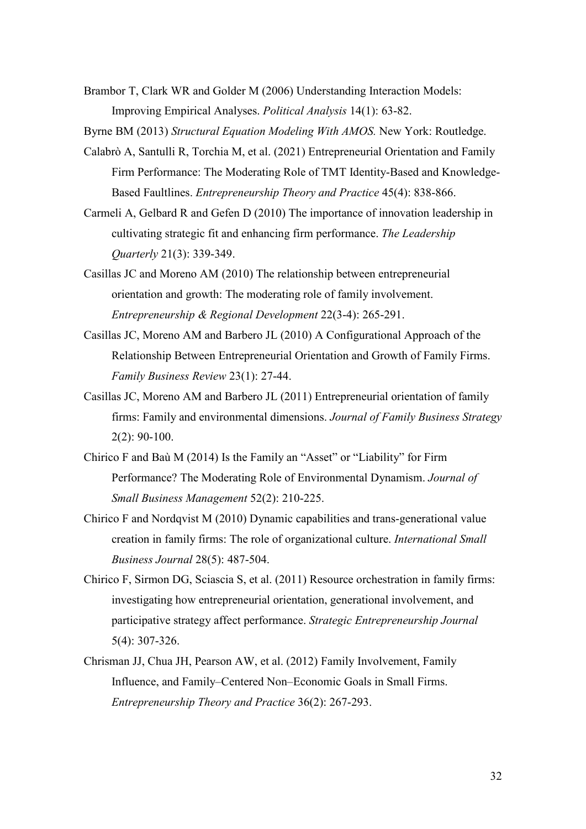Brambor T, Clark WR and Golder M (2006) Understanding Interaction Models: Improving Empirical Analyses. *Political Analysis* 14(1): 63-82.

Byrne BM (2013) *Structural Equation Modeling With AMOS.* New York: Routledge.

- Calabrò A, Santulli R, Torchia M, et al. (2021) Entrepreneurial Orientation and Family Firm Performance: The Moderating Role of TMT Identity-Based and Knowledge-Based Faultlines. *Entrepreneurship Theory and Practice* 45(4): 838-866.
- Carmeli A, Gelbard R and Gefen D (2010) The importance of innovation leadership in cultivating strategic fit and enhancing firm performance. *The Leadership Quarterly* 21(3): 339-349.
- Casillas JC and Moreno AM (2010) The relationship between entrepreneurial orientation and growth: The moderating role of family involvement. *Entrepreneurship & Regional Development* 22(3-4): 265-291.
- Casillas JC, Moreno AM and Barbero JL (2010) A Configurational Approach of the Relationship Between Entrepreneurial Orientation and Growth of Family Firms. *Family Business Review* 23(1): 27-44.
- Casillas JC, Moreno AM and Barbero JL (2011) Entrepreneurial orientation of family firms: Family and environmental dimensions. *Journal of Family Business Strategy* 2(2): 90-100.
- Chirico F and Baù M (2014) Is the Family an "Asset" or "Liability" for Firm Performance? The Moderating Role of Environmental Dynamism. *Journal of Small Business Management* 52(2): 210-225.
- Chirico F and Nordqvist M (2010) Dynamic capabilities and trans-generational value creation in family firms: The role of organizational culture. *International Small Business Journal* 28(5): 487-504.
- Chirico F, Sirmon DG, Sciascia S, et al. (2011) Resource orchestration in family firms: investigating how entrepreneurial orientation, generational involvement, and participative strategy affect performance. *Strategic Entrepreneurship Journal* 5(4): 307-326.
- Chrisman JJ, Chua JH, Pearson AW, et al. (2012) Family Involvement, Family Influence, and Family–Centered Non–Economic Goals in Small Firms. *Entrepreneurship Theory and Practice* 36(2): 267-293.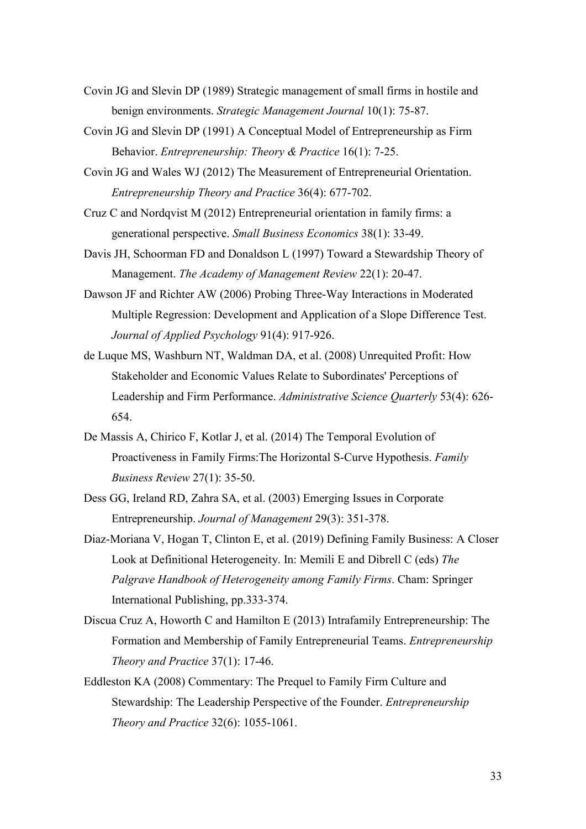- Covin JG and Slevin DP (1989) Strategic management of small firms in hostile and benign environments. *Strategic Management Journal* 10(1): 75-87.
- Covin JG and Slevin DP (1991) A Conceptual Model of Entrepreneurship as Firm Behavior. *Entrepreneurship: Theory & Practice* 16(1): 7-25.
- Covin JG and Wales WJ (2012) The Measurement of Entrepreneurial Orientation. *Entrepreneurship Theory and Practice* 36(4): 677-702.
- Cruz C and Nordqvist M (2012) Entrepreneurial orientation in family firms: a generational perspective. *Small Business Economics* 38(1): 33-49.
- Davis JH, Schoorman FD and Donaldson L (1997) Toward a Stewardship Theory of Management. *The Academy of Management Review* 22(1): 20-47.
- Dawson JF and Richter AW (2006) Probing Three-Way Interactions in Moderated Multiple Regression: Development and Application of a Slope Difference Test. *Journal of Applied Psychology* 91(4): 917-926.
- de Luque MS, Washburn NT, Waldman DA, et al. (2008) Unrequited Profit: How Stakeholder and Economic Values Relate to Subordinates' Perceptions of Leadership and Firm Performance. *Administrative Science Quarterly* 53(4): 626- 654.
- De Massis A, Chirico F, Kotlar J, et al. (2014) The Temporal Evolution of Proactiveness in Family Firms:The Horizontal S-Curve Hypothesis. *Family Business Review* 27(1): 35-50.
- Dess GG, Ireland RD, Zahra SA, et al. (2003) Emerging Issues in Corporate Entrepreneurship. *Journal of Management* 29(3): 351-378.
- Diaz-Moriana V, Hogan T, Clinton E, et al. (2019) Defining Family Business: A Closer Look at Definitional Heterogeneity. In: Memili E and Dibrell C (eds) *The Palgrave Handbook of Heterogeneity among Family Firms*. Cham: Springer International Publishing, pp.333-374.
- Discua Cruz A, Howorth C and Hamilton E (2013) Intrafamily Entrepreneurship: The Formation and Membership of Family Entrepreneurial Teams. *Entrepreneurship Theory and Practice* 37(1): 17-46.
- Eddleston KA (2008) Commentary: The Prequel to Family Firm Culture and Stewardship: The Leadership Perspective of the Founder. *Entrepreneurship Theory and Practice* 32(6): 1055-1061.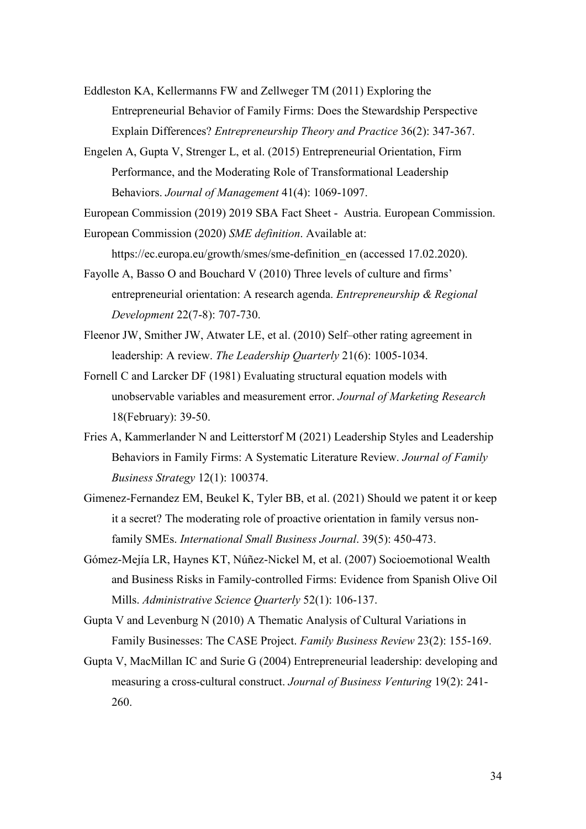- Eddleston KA, Kellermanns FW and Zellweger TM (2011) Exploring the Entrepreneurial Behavior of Family Firms: Does the Stewardship Perspective Explain Differences? *Entrepreneurship Theory and Practice* 36(2): 347-367.
- Engelen A, Gupta V, Strenger L, et al. (2015) Entrepreneurial Orientation, Firm Performance, and the Moderating Role of Transformational Leadership Behaviors. *Journal of Management* 41(4): 1069-1097.

European Commission (2019) 2019 SBA Fact Sheet - Austria. European Commission.

European Commission (2020) *SME definition*. Available at:

https://ec.europa.eu/growth/smes/sme-definition en (accessed 17.02.2020).

- Fayolle A, Basso O and Bouchard V (2010) Three levels of culture and firms' entrepreneurial orientation: A research agenda. *Entrepreneurship & Regional Development* 22(7-8): 707-730.
- Fleenor JW, Smither JW, Atwater LE, et al. (2010) Self–other rating agreement in leadership: A review. *The Leadership Quarterly* 21(6): 1005-1034.
- Fornell C and Larcker DF (1981) Evaluating structural equation models with unobservable variables and measurement error. *Journal of Marketing Research* 18(February): 39-50.
- Fries A, Kammerlander N and Leitterstorf M (2021) Leadership Styles and Leadership Behaviors in Family Firms: A Systematic Literature Review. *Journal of Family Business Strategy* 12(1): 100374.
- Gimenez-Fernandez EM, Beukel K, Tyler BB, et al. (2021) Should we patent it or keep it a secret? The moderating role of proactive orientation in family versus nonfamily SMEs. *International Small Business Journal*. 39(5): 450-473.
- Gómez-Mejía LR, Haynes KT, Núñez-Nickel M, et al. (2007) Socioemotional Wealth and Business Risks in Family-controlled Firms: Evidence from Spanish Olive Oil Mills. *Administrative Science Quarterly* 52(1): 106-137.
- Gupta V and Levenburg N (2010) A Thematic Analysis of Cultural Variations in Family Businesses: The CASE Project. *Family Business Review* 23(2): 155-169.
- Gupta V, MacMillan IC and Surie G (2004) Entrepreneurial leadership: developing and measuring a cross-cultural construct. *Journal of Business Venturing* 19(2): 241- 260.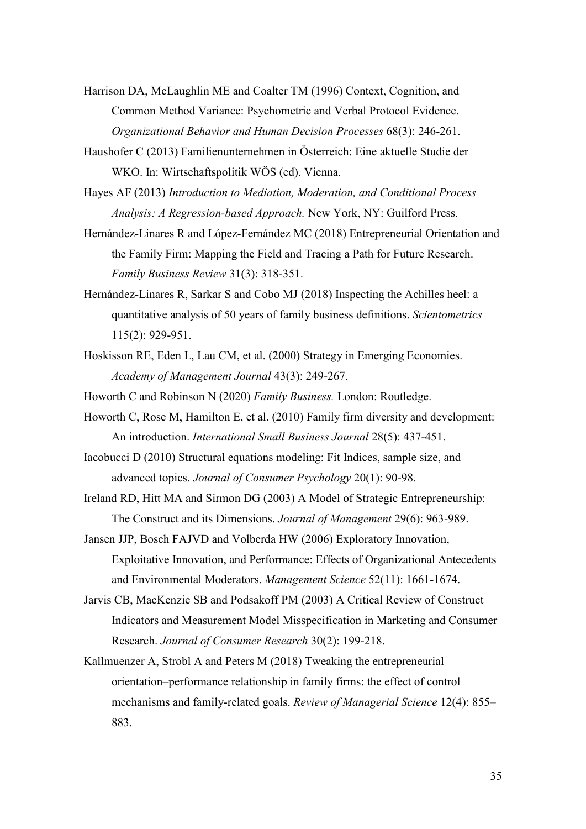- Harrison DA, McLaughlin ME and Coalter TM (1996) Context, Cognition, and Common Method Variance: Psychometric and Verbal Protocol Evidence. *Organizational Behavior and Human Decision Processes* 68(3): 246-261.
- Haushofer C (2013) Familienunternehmen in Österreich: Eine aktuelle Studie der WKO. In: Wirtschaftspolitik WÖS (ed). Vienna.
- Hayes AF (2013) *Introduction to Mediation, Moderation, and Conditional Process Analysis: A Regression-based Approach.* New York, NY: Guilford Press.
- Hernández-Linares R and López-Fernández MC (2018) Entrepreneurial Orientation and the Family Firm: Mapping the Field and Tracing a Path for Future Research. *Family Business Review* 31(3): 318-351.
- Hernández-Linares R, Sarkar S and Cobo MJ (2018) Inspecting the Achilles heel: a quantitative analysis of 50 years of family business definitions. *Scientometrics* 115(2): 929-951.
- Hoskisson RE, Eden L, Lau CM, et al. (2000) Strategy in Emerging Economies. *Academy of Management Journal* 43(3): 249-267.
- Howorth C and Robinson N (2020) *Family Business.* London: Routledge.
- Howorth C, Rose M, Hamilton E, et al. (2010) Family firm diversity and development: An introduction. *International Small Business Journal* 28(5): 437-451.
- Iacobucci D (2010) Structural equations modeling: Fit Indices, sample size, and advanced topics. *Journal of Consumer Psychology* 20(1): 90-98.
- Ireland RD, Hitt MA and Sirmon DG (2003) A Model of Strategic Entrepreneurship: The Construct and its Dimensions. *Journal of Management* 29(6): 963-989.
- Jansen JJP, Bosch FAJVD and Volberda HW (2006) Exploratory Innovation, Exploitative Innovation, and Performance: Effects of Organizational Antecedents and Environmental Moderators. *Management Science* 52(11): 1661-1674.
- Jarvis CB, MacKenzie SB and Podsakoff PM (2003) A Critical Review of Construct Indicators and Measurement Model Misspecification in Marketing and Consumer Research. *Journal of Consumer Research* 30(2): 199-218.
- Kallmuenzer A, Strobl A and Peters M (2018) Tweaking the entrepreneurial orientation–performance relationship in family firms: the effect of control mechanisms and family-related goals. *Review of Managerial Science* 12(4): 855– 883.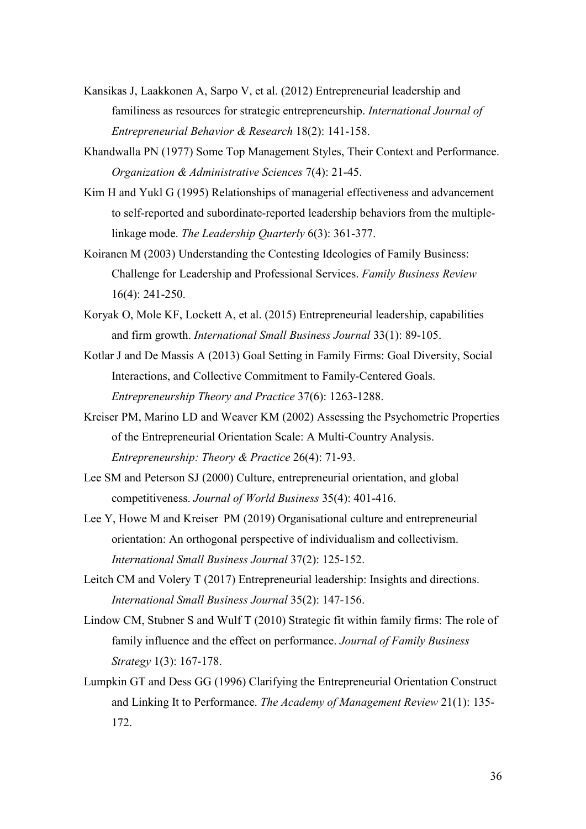- Kansikas J, Laakkonen A, Sarpo V, et al. (2012) Entrepreneurial leadership and familiness as resources for strategic entrepreneurship. *International Journal of Entrepreneurial Behavior & Research* 18(2): 141-158.
- Khandwalla PN (1977) Some Top Management Styles, Their Context and Performance. *Organization & Administrative Sciences* 7(4): 21-45.
- Kim H and Yukl G (1995) Relationships of managerial effectiveness and advancement to self-reported and subordinate-reported leadership behaviors from the multiplelinkage mode. *The Leadership Quarterly* 6(3): 361-377.
- Koiranen M (2003) Understanding the Contesting Ideologies of Family Business: Challenge for Leadership and Professional Services. *Family Business Review* 16(4): 241-250.
- Koryak O, Mole KF, Lockett A, et al. (2015) Entrepreneurial leadership, capabilities and firm growth. *International Small Business Journal* 33(1): 89-105.
- Kotlar J and De Massis A (2013) Goal Setting in Family Firms: Goal Diversity, Social Interactions, and Collective Commitment to Family-Centered Goals. *Entrepreneurship Theory and Practice* 37(6): 1263-1288.
- Kreiser PM, Marino LD and Weaver KM (2002) Assessing the Psychometric Properties of the Entrepreneurial Orientation Scale: A Multi-Country Analysis. *Entrepreneurship: Theory & Practice* 26(4): 71-93.
- Lee SM and Peterson SJ (2000) Culture, entrepreneurial orientation, and global competitiveness. *Journal of World Business* 35(4): 401-416.
- Lee Y, Howe M and Kreiser  PM (2019) Organisational culture and entrepreneurial orientation: An orthogonal perspective of individualism and collectivism. *International Small Business Journal* 37(2): 125-152.
- Leitch CM and Volery T (2017) Entrepreneurial leadership: Insights and directions. *International Small Business Journal* 35(2): 147-156.
- Lindow CM, Stubner S and Wulf T (2010) Strategic fit within family firms: The role of family influence and the effect on performance. *Journal of Family Business Strategy* 1(3): 167-178.
- Lumpkin GT and Dess GG (1996) Clarifying the Entrepreneurial Orientation Construct and Linking It to Performance. *The Academy of Management Review* 21(1): 135- 172.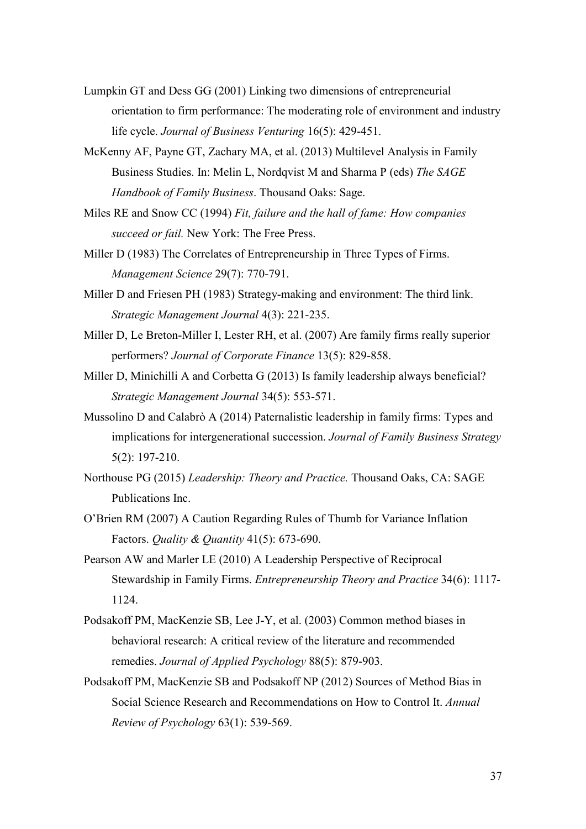- Lumpkin GT and Dess GG (2001) Linking two dimensions of entrepreneurial orientation to firm performance: The moderating role of environment and industry life cycle. *Journal of Business Venturing* 16(5): 429-451.
- McKenny AF, Payne GT, Zachary MA, et al. (2013) Multilevel Analysis in Family Business Studies. In: Melin L, Nordqvist M and Sharma P (eds) *The SAGE Handbook of Family Business*. Thousand Oaks: Sage.
- Miles RE and Snow CC (1994) *Fit, failure and the hall of fame: How companies succeed or fail.* New York: The Free Press.
- Miller D (1983) The Correlates of Entrepreneurship in Three Types of Firms. *Management Science* 29(7): 770-791.
- Miller D and Friesen PH (1983) Strategy-making and environment: The third link. *Strategic Management Journal* 4(3): 221-235.
- Miller D, Le Breton-Miller I, Lester RH, et al. (2007) Are family firms really superior performers? *Journal of Corporate Finance* 13(5): 829-858.
- Miller D, Minichilli A and Corbetta G (2013) Is family leadership always beneficial? *Strategic Management Journal* 34(5): 553-571.
- Mussolino D and Calabrò A (2014) Paternalistic leadership in family firms: Types and implications for intergenerational succession. *Journal of Family Business Strategy* 5(2): 197-210.
- Northouse PG (2015) *Leadership: Theory and Practice.* Thousand Oaks, CA: SAGE Publications Inc.
- O'Brien RM (2007) A Caution Regarding Rules of Thumb for Variance Inflation Factors. *Quality & Quantity* 41(5): 673-690.
- Pearson AW and Marler LE (2010) A Leadership Perspective of Reciprocal Stewardship in Family Firms. *Entrepreneurship Theory and Practice* 34(6): 1117- 1124.
- Podsakoff PM, MacKenzie SB, Lee J-Y, et al. (2003) Common method biases in behavioral research: A critical review of the literature and recommended remedies. *Journal of Applied Psychology* 88(5): 879-903.
- Podsakoff PM, MacKenzie SB and Podsakoff NP (2012) Sources of Method Bias in Social Science Research and Recommendations on How to Control It. *Annual Review of Psychology* 63(1): 539-569.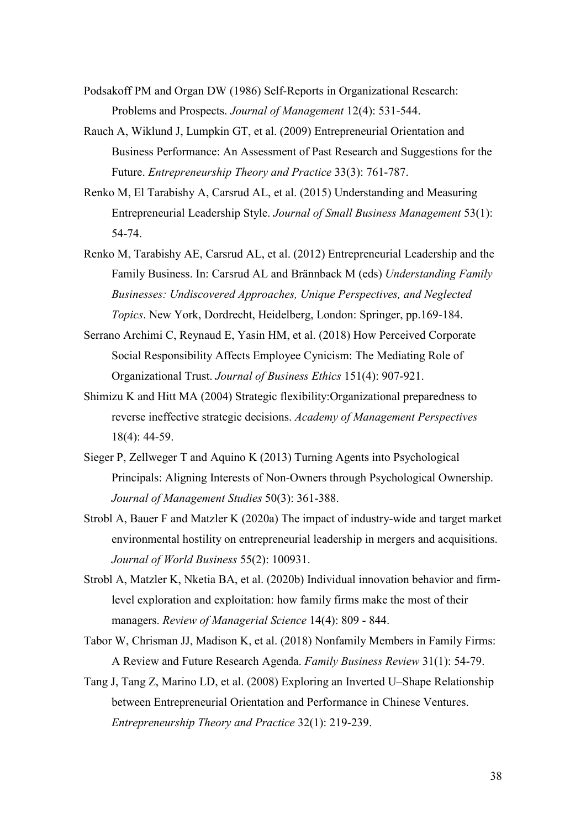- Podsakoff PM and Organ DW (1986) Self-Reports in Organizational Research: Problems and Prospects. *Journal of Management* 12(4): 531-544.
- Rauch A, Wiklund J, Lumpkin GT, et al. (2009) Entrepreneurial Orientation and Business Performance: An Assessment of Past Research and Suggestions for the Future. *Entrepreneurship Theory and Practice* 33(3): 761-787.
- Renko M, El Tarabishy A, Carsrud AL, et al. (2015) Understanding and Measuring Entrepreneurial Leadership Style. *Journal of Small Business Management* 53(1): 54-74.
- Renko M, Tarabishy AE, Carsrud AL, et al. (2012) Entrepreneurial Leadership and the Family Business. In: Carsrud AL and Brännback M (eds) *Understanding Family Businesses: Undiscovered Approaches, Unique Perspectives, and Neglected Topics*. New York, Dordrecht, Heidelberg, London: Springer, pp.169-184.
- Serrano Archimi C, Reynaud E, Yasin HM, et al. (2018) How Perceived Corporate Social Responsibility Affects Employee Cynicism: The Mediating Role of Organizational Trust. *Journal of Business Ethics* 151(4): 907-921.
- Shimizu K and Hitt MA (2004) Strategic flexibility:Organizational preparedness to reverse ineffective strategic decisions. *Academy of Management Perspectives* 18(4): 44-59.
- Sieger P, Zellweger T and Aquino K (2013) Turning Agents into Psychological Principals: Aligning Interests of Non-Owners through Psychological Ownership. *Journal of Management Studies* 50(3): 361-388.
- Strobl A, Bauer F and Matzler K (2020a) The impact of industry-wide and target market environmental hostility on entrepreneurial leadership in mergers and acquisitions. *Journal of World Business* 55(2): 100931.
- Strobl A, Matzler K, Nketia BA, et al. (2020b) Individual innovation behavior and firmlevel exploration and exploitation: how family firms make the most of their managers. *Review of Managerial Science* 14(4): 809 - 844.
- Tabor W, Chrisman JJ, Madison K, et al. (2018) Nonfamily Members in Family Firms: A Review and Future Research Agenda. *Family Business Review* 31(1): 54-79.
- Tang J, Tang Z, Marino LD, et al. (2008) Exploring an Inverted U–Shape Relationship between Entrepreneurial Orientation and Performance in Chinese Ventures. *Entrepreneurship Theory and Practice* 32(1): 219-239.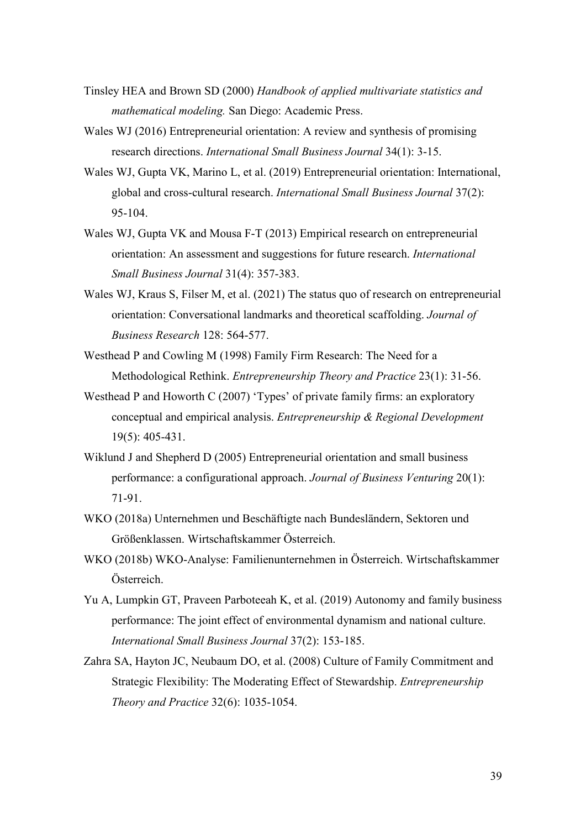- Tinsley HEA and Brown SD (2000) *Handbook of applied multivariate statistics and mathematical modeling.* San Diego: Academic Press.
- Wales WJ (2016) Entrepreneurial orientation: A review and synthesis of promising research directions. *International Small Business Journal* 34(1): 3-15.
- Wales WJ, Gupta VK, Marino L, et al. (2019) Entrepreneurial orientation: International, global and cross-cultural research. *International Small Business Journal* 37(2): 95-104.
- Wales WJ, Gupta VK and Mousa F-T (2013) Empirical research on entrepreneurial orientation: An assessment and suggestions for future research. *International Small Business Journal* 31(4): 357-383.
- Wales WJ, Kraus S, Filser M, et al. (2021) The status quo of research on entrepreneurial orientation: Conversational landmarks and theoretical scaffolding. *Journal of Business Research* 128: 564-577.
- Westhead P and Cowling M (1998) Family Firm Research: The Need for a Methodological Rethink. *Entrepreneurship Theory and Practice* 23(1): 31-56.
- Westhead P and Howorth C (2007) 'Types' of private family firms: an exploratory conceptual and empirical analysis. *Entrepreneurship & Regional Development* 19(5): 405-431.
- Wiklund J and Shepherd D (2005) Entrepreneurial orientation and small business performance: a configurational approach. *Journal of Business Venturing* 20(1): 71-91.
- WKO (2018a) Unternehmen und Beschäftigte nach Bundesländern, Sektoren und Größenklassen. Wirtschaftskammer Österreich.
- WKO (2018b) WKO-Analyse: Familienunternehmen in Österreich. Wirtschaftskammer Österreich.
- Yu A, Lumpkin GT, Praveen Parboteeah K, et al. (2019) Autonomy and family business performance: The joint effect of environmental dynamism and national culture. *International Small Business Journal* 37(2): 153-185.
- Zahra SA, Hayton JC, Neubaum DO, et al. (2008) Culture of Family Commitment and Strategic Flexibility: The Moderating Effect of Stewardship. *Entrepreneurship Theory and Practice* 32(6): 1035-1054.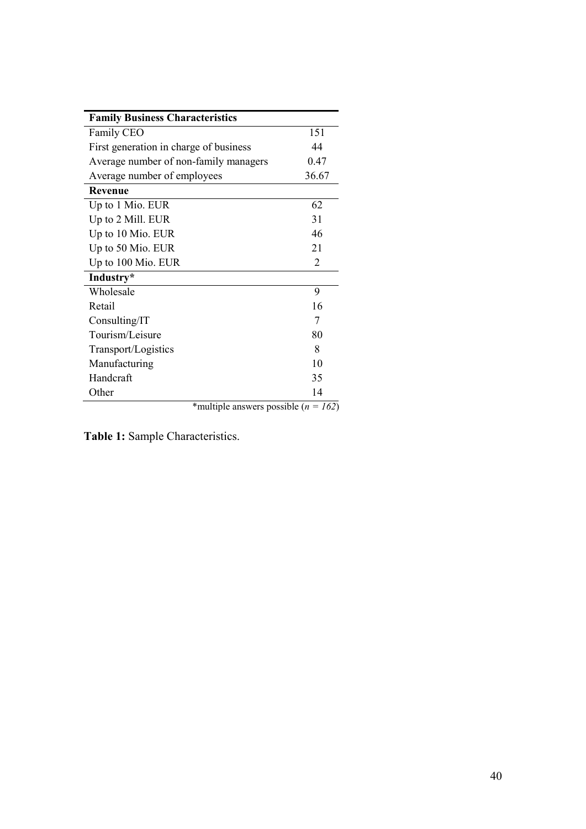| <b>Family Business Characteristics</b>   |                |
|------------------------------------------|----------------|
| Family CEO                               | 151            |
| First generation in charge of business   | 44             |
| Average number of non-family managers    | 0.47           |
| Average number of employees              | 36.67          |
| <b>Revenue</b>                           |                |
| Up to 1 Mio. EUR                         | 62             |
| Up to 2 Mill. EUR                        | 31             |
| Up to 10 Mio. EUR                        | 46             |
| Up to 50 Mio. EUR                        | 21             |
| Up to 100 Mio. EUR                       | $\overline{2}$ |
| Industry*                                |                |
| Wholesale                                | 9              |
| Retail                                   | 16             |
| Consulting/IT                            | 7              |
| Tourism/Leisure                          | 80             |
| Transport/Logistics                      | 8              |
| Manufacturing                            | 10             |
| Handcraft                                | 35             |
| Other                                    | 14             |
| *multiple answers possible ( $n = 162$ ) |                |

**Table 1:** Sample Characteristics.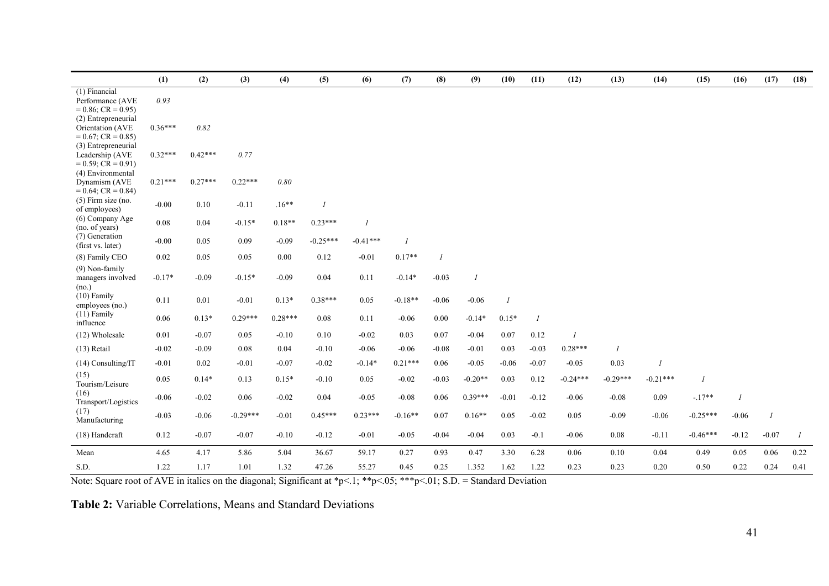|                                                                     | (1)       | (2)       | (3)        | (4)       | (5)            | (6)        | (7)            | (8)     | (9)            | (10)           | (11)                        | (12)       | (13)           | (14)       | (15)       | (16)    | (17)           | (18) |
|---------------------------------------------------------------------|-----------|-----------|------------|-----------|----------------|------------|----------------|---------|----------------|----------------|-----------------------------|------------|----------------|------------|------------|---------|----------------|------|
| (1) Financial<br>Performance (AVE<br>$= 0.86$ ; CR $= 0.95$ )       | 0.93      |           |            |           |                |            |                |         |                |                |                             |            |                |            |            |         |                |      |
| (2) Entrepreneurial<br>Orientation (AVE<br>$= 0.67$ ; CR $= 0.85$ ) | $0.36***$ | 0.82      |            |           |                |            |                |         |                |                |                             |            |                |            |            |         |                |      |
| (3) Entrepreneurial<br>Leadership (AVE<br>$= 0.59$ ; CR $= 0.91$ )  | $0.32***$ | $0.42***$ | 0.77       |           |                |            |                |         |                |                |                             |            |                |            |            |         |                |      |
| (4) Environmental<br>Dynamism (AVE<br>$= 0.64$ ; CR $= 0.84$ )      | $0.21***$ | $0.27***$ | $0.22***$  | 0.80      |                |            |                |         |                |                |                             |            |                |            |            |         |                |      |
| $(5)$ Firm size (no.<br>of employees)                               | $-0.00$   | 0.10      | $-0.11$    | $.16***$  | $\overline{1}$ |            |                |         |                |                |                             |            |                |            |            |         |                |      |
| (6) Company Age<br>(no. of years)                                   | 0.08      | 0.04      | $-0.15*$   | $0.18**$  | $0.23***$      |            |                |         |                |                |                             |            |                |            |            |         |                |      |
| (7) Generation<br>(first vs. later)                                 | $-0.00$   | 0.05      | 0.09       | $-0.09$   | $-0.25***$     | $-0.41***$ | $\overline{I}$ |         |                |                |                             |            |                |            |            |         |                |      |
| (8) Family CEO                                                      | 0.02      | 0.05      | 0.05       | 0.00      | 0.12           | $-0.01$    | $0.17**$       |         |                |                |                             |            |                |            |            |         |                |      |
| $(9)$ Non-family<br>managers involved<br>(no.)                      | $-0.17*$  | $-0.09$   | $-0.15*$   | $-0.09$   | 0.04           | 0.11       | $-0.14*$       | $-0.03$ | $\overline{I}$ |                |                             |            |                |            |            |         |                |      |
| $(10)$ Family<br>employees (no.)                                    | 0.11      | 0.01      | $-0.01$    | $0.13*$   | $0.38***$      | 0.05       | $-0.18**$      | $-0.06$ | $-0.06$        | $\overline{I}$ |                             |            |                |            |            |         |                |      |
| $(11)$ Family<br>influence                                          | 0.06      | $0.13*$   | $0.29***$  | $0.28***$ | 0.08           | 0.11       | $-0.06$        | 0.00    | $-0.14*$       | $0.15*$        | $\mathcal{I}_{\mathcal{I}}$ |            |                |            |            |         |                |      |
| (12) Wholesale                                                      | 0.01      | $-0.07$   | 0.05       | $-0.10$   | 0.10           | $-0.02$    | 0.03           | 0.07    | $-0.04$        | 0.07           | 0.12                        |            |                |            |            |         |                |      |
| $(13)$ Retail                                                       | $-0.02$   | $-0.09$   | 0.08       | 0.04      | $-0.10$        | $-0.06$    | $-0.06$        | $-0.08$ | $-0.01$        | 0.03           | $-0.03$                     | $0.28***$  | $\overline{I}$ |            |            |         |                |      |
| $(14)$ Consulting/IT                                                | $-0.01$   | 0.02      | $-0.01$    | $-0.07$   | $-0.02$        | $-0.14*$   | $0.21***$      | 0.06    | $-0.05$        | $-0.06$        | $-0.07$                     | $-0.05$    | 0.03           |            |            |         |                |      |
| (15)<br>Tourism/Leisure                                             | 0.05      | $0.14*$   | 0.13       | $0.15*$   | $-0.10$        | 0.05       | $-0.02$        | $-0.03$ | $-0.20**$      | 0.03           | 0.12                        | $-0.24***$ | $-0.29***$     | $-0.21***$ |            |         |                |      |
| (16)<br>Transport/Logistics                                         | $-0.06$   | $-0.02$   | 0.06       | $-0.02$   | 0.04           | $-0.05$    | $-0.08$        | 0.06    | $0.39***$      | $-0.01$        | $-0.12$                     | $-0.06$    | $-0.08$        | 0.09       | $-.17**$   |         |                |      |
| (17)<br>Manufacturing                                               | $-0.03$   | $-0.06$   | $-0.29***$ | $-0.01$   | $0.45***$      | $0.23***$  | $-0.16**$      | 0.07    | $0.16**$       | 0.05           | $-0.02$                     | 0.05       | $-0.09$        | $-0.06$    | $-0.25***$ | $-0.06$ | $\overline{I}$ |      |
| (18) Handcraft                                                      | 0.12      | $-0.07$   | $-0.07$    | $-0.10$   | $-0.12$        | $-0.01$    | $-0.05$        | $-0.04$ | $-0.04$        | 0.03           | $-0.1$                      | $-0.06$    | 0.08           | $-0.11$    | $-0.46***$ | $-0.12$ | $-0.07$        |      |
| Mean                                                                | 4.65      | 4.17      | 5.86       | 5.04      | 36.67          | 59.17      | 0.27           | 0.93    | 0.47           | 3.30           | 6.28                        | 0.06       | 0.10           | 0.04       | 0.49       | 0.05    | 0.06           | 0.22 |
| S.D.                                                                | 1.22      | 1.17      | 1.01       | 1.32      | 47.26          | 55.27      | 0.45           | 0.25    | 1.352          | 1.62           | 1.22                        | 0.23       | 0.23           | 0.20       | 0.50       | 0.22    | 0.24           | 0.41 |

Note: Square root of AVE in italics on the diagonal; Significant at \*p<.1; \*\*p<.05; \*\*\*p<.01; S.D. = Standard Deviation

**Table 2:** Variable Correlations, Means and Standard Deviations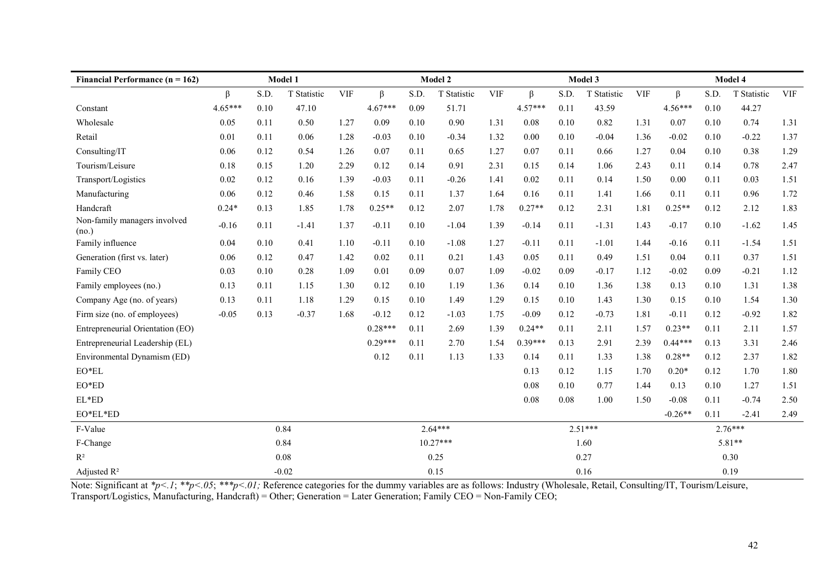| Financial Performance ( $n = 162$ )   | Model 1   |      |             | Model 2    |           |      | Model 3     |            |           |      | Model 4     |            |           |      |             |            |
|---------------------------------------|-----------|------|-------------|------------|-----------|------|-------------|------------|-----------|------|-------------|------------|-----------|------|-------------|------------|
|                                       | β         | S.D. | T Statistic | <b>VIF</b> | $\beta$   | S.D. | T Statistic | <b>VIF</b> | β         | S.D. | T Statistic | <b>VIF</b> | $\beta$   | S.D. | T Statistic | <b>VIF</b> |
| Constant                              | $4.65***$ | 0.10 | 47.10       |            | $4.67***$ | 0.09 | 51.71       |            | $4.57***$ | 0.11 | 43.59       |            | $4.56***$ | 0.10 | 44.27       |            |
| Wholesale                             | 0.05      | 0.11 | 0.50        | 1.27       | 0.09      | 0.10 | 0.90        | 1.31       | 0.08      | 0.10 | 0.82        | 1.31       | 0.07      | 0.10 | 0.74        | 1.31       |
| Retail                                | 0.01      | 0.11 | 0.06        | 1.28       | $-0.03$   | 0.10 | $-0.34$     | 1.32       | 0.00      | 0.10 | $-0.04$     | 1.36       | $-0.02$   | 0.10 | $-0.22$     | 1.37       |
| Consulting/IT                         | 0.06      | 0.12 | 0.54        | 1.26       | 0.07      | 0.11 | 0.65        | 1.27       | 0.07      | 0.11 | 0.66        | 1.27       | 0.04      | 0.10 | 0.38        | 1.29       |
| Tourism/Leisure                       | 0.18      | 0.15 | 1.20        | 2.29       | 0.12      | 0.14 | 0.91        | 2.31       | 0.15      | 0.14 | 1.06        | 2.43       | 0.11      | 0.14 | 0.78        | 2.47       |
| Transport/Logistics                   | 0.02      | 0.12 | 0.16        | 1.39       | $-0.03$   | 0.11 | $-0.26$     | 1.41       | 0.02      | 0.11 | 0.14        | 1.50       | 0.00      | 0.11 | 0.03        | 1.51       |
| Manufacturing                         | 0.06      | 0.12 | 0.46        | 1.58       | 0.15      | 0.11 | 1.37        | 1.64       | 0.16      | 0.11 | 1.41        | 1.66       | 0.11      | 0.11 | 0.96        | 1.72       |
| Handcraft                             | $0.24*$   | 0.13 | 1.85        | 1.78       | $0.25**$  | 0.12 | 2.07        | 1.78       | $0.27**$  | 0.12 | 2.31        | 1.81       | $0.25**$  | 0.12 | 2.12        | 1.83       |
| Non-family managers involved<br>(no.) | $-0.16$   | 0.11 | $-1.41$     | 1.37       | $-0.11$   | 0.10 | $-1.04$     | 1.39       | $-0.14$   | 0.11 | $-1.31$     | 1.43       | $-0.17$   | 0.10 | $-1.62$     | 1.45       |
| Family influence                      | 0.04      | 0.10 | 0.41        | 1.10       | $-0.11$   | 0.10 | $-1.08$     | 1.27       | $-0.11$   | 0.11 | $-1.01$     | 1.44       | $-0.16$   | 0.11 | $-1.54$     | 1.51       |
| Generation (first vs. later)          | 0.06      | 0.12 | 0.47        | 1.42       | 0.02      | 0.11 | 0.21        | 1.43       | 0.05      | 0.11 | 0.49        | 1.51       | 0.04      | 0.11 | 0.37        | 1.51       |
| Family CEO                            | 0.03      | 0.10 | 0.28        | 1.09       | 0.01      | 0.09 | 0.07        | 1.09       | $-0.02$   | 0.09 | $-0.17$     | 1.12       | $-0.02$   | 0.09 | $-0.21$     | 1.12       |
| Family employees (no.)                | 0.13      | 0.11 | 1.15        | 1.30       | 0.12      | 0.10 | 1.19        | 1.36       | 0.14      | 0.10 | 1.36        | 1.38       | 0.13      | 0.10 | 1.31        | 1.38       |
| Company Age (no. of years)            | 0.13      | 0.11 | 1.18        | 1.29       | 0.15      | 0.10 | 1.49        | 1.29       | 0.15      | 0.10 | 1.43        | 1.30       | 0.15      | 0.10 | 1.54        | 1.30       |
| Firm size (no. of employees)          | $-0.05$   | 0.13 | $-0.37$     | 1.68       | $-0.12$   | 0.12 | $-1.03$     | 1.75       | $-0.09$   | 0.12 | $-0.73$     | 1.81       | $-0.11$   | 0.12 | $-0.92$     | 1.82       |
| Entrepreneurial Orientation (EO)      |           |      |             |            | $0.28***$ | 0.11 | 2.69        | 1.39       | $0.24**$  | 0.11 | 2.11        | 1.57       | $0.23**$  | 0.11 | 2.11        | 1.57       |
| Entrepreneurial Leadership (EL)       |           |      |             |            | $0.29***$ | 0.11 | 2.70        | 1.54       | $0.39***$ | 0.13 | 2.91        | 2.39       | $0.44***$ | 0.13 | 3.31        | 2.46       |
| Environmental Dynamism (ED)           |           |      |             |            | 0.12      | 0.11 | 1.13        | 1.33       | 0.14      | 0.11 | 1.33        | 1.38       | $0.28**$  | 0.12 | 2.37        | 1.82       |
| EO*EL                                 |           |      |             |            |           |      |             |            | 0.13      | 0.12 | 1.15        | 1.70       | $0.20*$   | 0.12 | 1.70        | 1.80       |
| $EO^*\!ED$                            |           |      |             |            |           |      |             |            | 0.08      | 0.10 | 0.77        | 1.44       | 0.13      | 0.10 | 1.27        | 1.51       |
| EL*ED                                 |           |      |             |            |           |      |             |            | 0.08      | 0.08 | 1.00        | 1.50       | $-0.08$   | 0.11 | $-0.74$     | 2.50       |
| EO*EL*ED                              |           |      |             |            |           |      |             |            |           |      |             |            | $-0.26**$ | 0.11 | $-2.41$     | 2.49       |
| F-Value                               | 0.84      |      |             | $2.64***$  |           |      |             | $2.51***$  |           |      |             | $2.76***$  |           |      |             |            |
| F-Change                              | 0.84      |      |             | $10.27***$ |           |      |             | 1.60       |           |      |             | 5.81**     |           |      |             |            |
| $R^2$                                 |           |      | 0.08        |            | 0.25      |      |             |            | 0.27      |      |             |            | 0.30      |      |             |            |
| Adjusted $R^2$                        | $-0.02$   |      |             |            | 0.15      |      |             | 0.16       |           |      |             | 0.19       |           |      |             |            |

Note: Significant at  $\ast p < 1$ ;  $\ast \ast p < 0.05$ ;  $\ast \ast \ast p < 0.01$ ; Reference categories for the dummy variables are as follows: Industry (Wholesale, Retail, Consulting/IT, Tourism/Leisure, Transport/Logistics, Manufacturing, Handcraft) = Other; Generation = Later Generation; Family CEO = Non-Family CEO;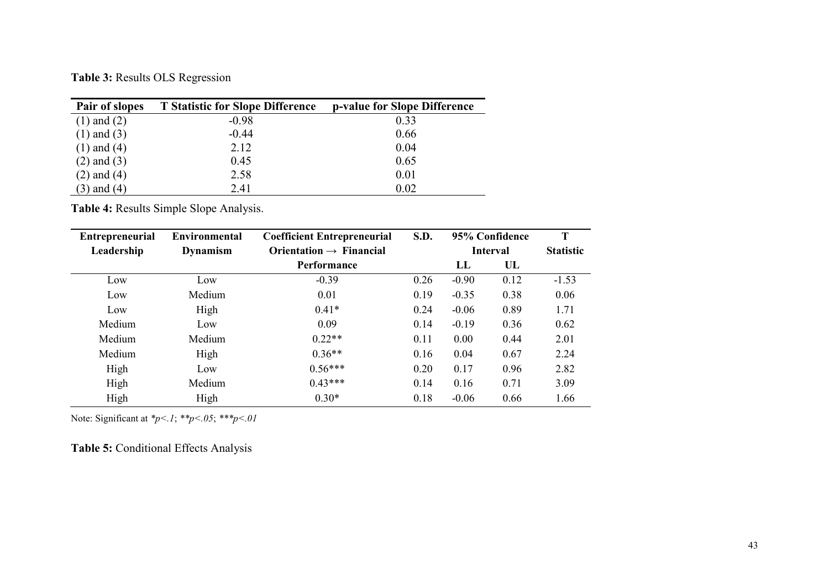**Table 3:** Results OLS Regression

| Pair of slopes  | <b>T</b> Statistic for Slope Difference | p-value for Slope Difference |
|-----------------|-----------------------------------------|------------------------------|
| $(1)$ and $(2)$ | $-0.98$                                 | 0.33                         |
| $(1)$ and $(3)$ | $-0.44$                                 | 0.66                         |
| $(1)$ and $(4)$ | 2.12                                    | 0.04                         |
| $(2)$ and $(3)$ | 0.45                                    | 0.65                         |
| $(2)$ and $(4)$ | 2.58                                    | 0.01                         |
| $(3)$ and $(4)$ | 2.41                                    | 0.02                         |

**Table 4:** Results Simple Slope Analysis.

| <b>Entrepreneurial</b> | Environmental | <b>Coefficient Entrepreneurial</b>  | <b>S.D.</b> |                 | 95% Confidence   | T       |
|------------------------|---------------|-------------------------------------|-------------|-----------------|------------------|---------|
| Leadership             | Dynamism      | Orientation $\rightarrow$ Financial |             | <b>Interval</b> | <b>Statistic</b> |         |
|                        |               | <b>Performance</b>                  |             | $\mathbf{L}$    | UL               |         |
| Low                    | Low           | $-0.39$                             | 0.26        | $-0.90$         | 0.12             | $-1.53$ |
| Low                    | Medium        | 0.01                                | 0.19        | $-0.35$         | 0.38             | 0.06    |
| Low                    | High          | $0.41*$                             | 0.24        | $-0.06$         | 0.89             | 1.71    |
| Medium                 | Low           | 0.09                                | 0.14        | $-0.19$         | 0.36             | 0.62    |
| Medium                 | Medium        | $0.22**$                            | 0.11        | 0.00            | 0.44             | 2.01    |
| Medium                 | High          | $0.36**$                            | 0.16        | 0.04            | 0.67             | 2.24    |
| High                   | Low           | $0.56***$                           | 0.20        | 0.17            | 0.96             | 2.82    |
| High                   | Medium        | $0.43***$                           | 0.14        | 0.16            | 0.71             | 3.09    |
| High                   | High          | $0.30*$                             | 0.18        | $-0.06$         | 0.66             | 1.66    |

Note: Significant at *\*p<.1*; *\*\*p<.05*; *\*\*\*p<.01*

**Table 5:** Conditional Effects Analysis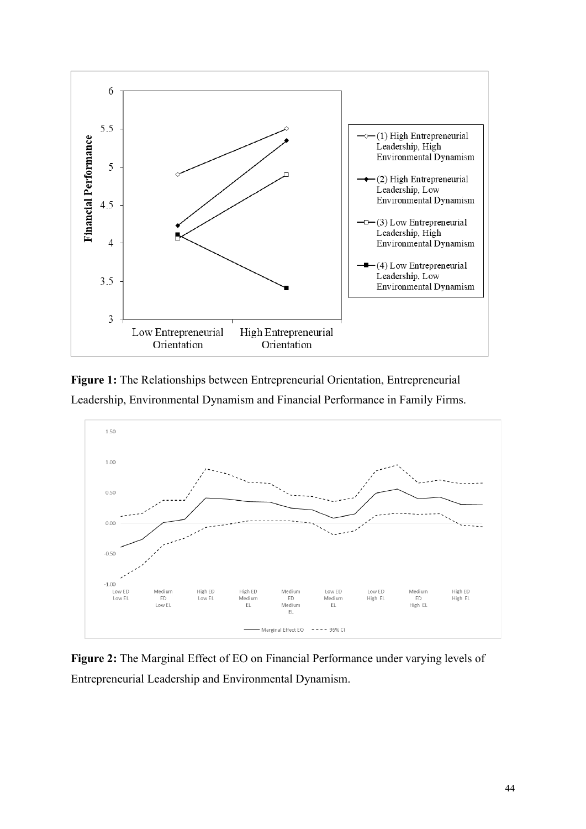

**Figure 1:** The Relationships between Entrepreneurial Orientation, Entrepreneurial Leadership, Environmental Dynamism and Financial Performance in Family Firms.



**Figure 2:** The Marginal Effect of EO on Financial Performance under varying levels of Entrepreneurial Leadership and Environmental Dynamism.